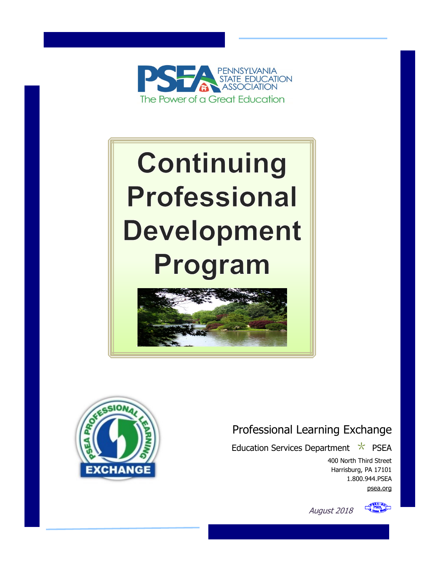

# **Continuing Professional Development** Program





# Professional Learning Exchange

Education Services Department  $\star$  PSEA

August 2018

400 North Third Street Harrisburg, PA 17101 1.800.944.PSEA [psea.org](http://www.psea.org/)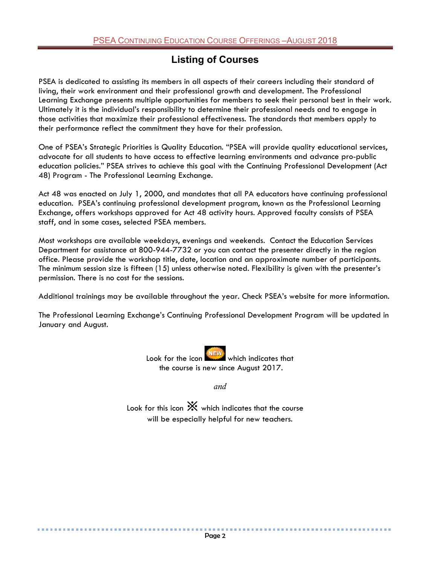## **Listing of Courses**

PSEA is dedicated to assisting its members in all aspects of their careers including their standard of living, their work environment and their professional growth and development. The Professional Learning Exchange presents multiple opportunities for members to seek their personal best in their work. Ultimately it is the individual's responsibility to determine their professional needs and to engage in those activities that maximize their professional effectiveness. The standards that members apply to their performance reflect the commitment they have for their profession.

One of PSEA's Strategic Priorities is Quality Education. "PSEA will provide quality educational services, advocate for all students to have access to effective learning environments and advance pro-public education policies." PSEA strives to achieve this goal with the Continuing Professional Development (Act 48) Program - The Professional Learning Exchange.

Act 48 was enacted on July 1, 2000, and mandates that all PA educators have continuing professional education. PSEA's continuing professional development program, known as the Professional Learning Exchange, offers workshops approved for Act 48 activity hours. Approved faculty consists of PSEA staff, and in some cases, selected PSEA members.

Most workshops are available weekdays, evenings and weekends. Contact the Education Services Department for assistance at 800-944-7732 or you can contact the presenter directly in the region office. Please provide the workshop title, date, location and an approximate number of participants. The minimum session size is fifteen (15) unless otherwise noted. Flexibility is given with the presenter's permission. There is no cost for the sessions.

Additional trainings may be available throughout the year. Check PSEA's website for more information.

The Professional Learning Exchange's Continuing Professional Development Program will be updated in January and August.

> Look for the icon which indicates that the course is new since August 2017.

> > *and*

Look for this icon  $\mathbb{X}$  which indicates that the course will be especially helpful for new teachers.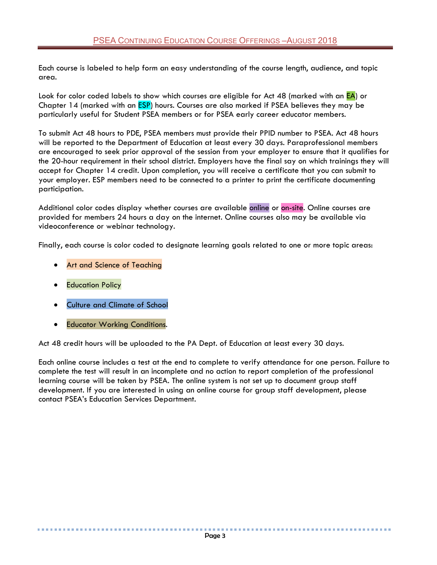Each course is labeled to help form an easy understanding of the course length, audience, and topic area.

Look for color coded labels to show which courses are eligible for Act 48 (marked with an EA) or Chapter 14 (marked with an **ESP**) hours. Courses are also marked if PSEA believes they may be particularly useful for Student PSEA members or for PSEA early career educator members.

To submit Act 48 hours to PDE, PSEA members must provide their PPID number to PSEA. Act 48 hours will be reported to the Department of Education at least every 30 days. Paraprofessional members are encouraged to seek prior approval of the session from your employer to ensure that it qualifies for the 20-hour requirement in their school district. Employers have the final say on which trainings they will accept for Chapter 14 credit. Upon completion, you will receive a certificate that you can submit to your employer. ESP members need to be connected to a printer to print the certificate documenting participation.

Additional color codes display whether courses are available online or on-site. Online courses are provided for members 24 hours a day on the internet. Online courses also may be available via videoconference or webinar technology.

Finally, each course is color coded to designate learning goals related to one or more topic areas:

- Art and Science of Teaching
- **Education Policy**
- Culture and Climate of School
- Educator Working Conditions.

................................

Act 48 credit hours will be uploaded to the PA Dept. of Education at least every 30 days.

Each online course includes a test at the end to complete to verify attendance for one person. Failure to complete the test will result in an incomplete and no action to report completion of the professional learning course will be taken by PSEA. The online system is not set up to document group staff development. If you are interested in using an online course for group staff development, please contact PSEA's Education Services Department.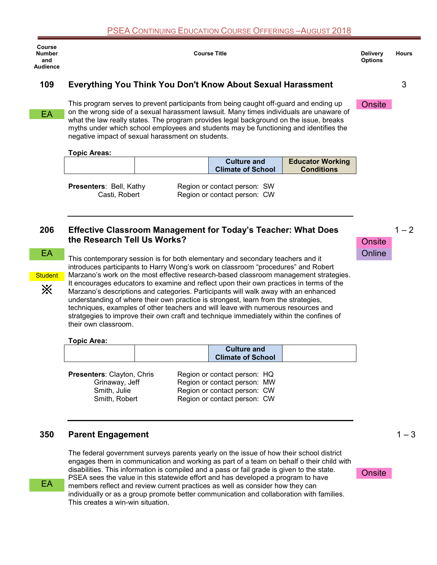| Course<br><b>Number</b><br>and<br><b>Audience</b> |                                              |                                                   | <b>Course Title</b>                                                                                                                                                                                                                                                                                                                                                                                                                                  |                         | <b>Delivery</b><br><b>Options</b> | <b>Hours</b> |
|---------------------------------------------------|----------------------------------------------|---------------------------------------------------|------------------------------------------------------------------------------------------------------------------------------------------------------------------------------------------------------------------------------------------------------------------------------------------------------------------------------------------------------------------------------------------------------------------------------------------------------|-------------------------|-----------------------------------|--------------|
| 109                                               |                                              |                                                   | Everything You Think You Don't Know About Sexual Harassment                                                                                                                                                                                                                                                                                                                                                                                          |                         |                                   | 3            |
| EA                                                |                                              | negative impact of sexual harassment on students. | This program serves to prevent participants from being caught off-guard and ending up<br>on the wrong side of a sexual harassment lawsuit. Many times individuals are unaware of<br>what the law really states. The program provides legal background on the issue, breaks<br>myths under which school employees and students may be functioning and identifies the                                                                                  |                         | Onsite                            |              |
|                                                   | <b>Topic Areas:</b>                          |                                                   | <b>Culture and</b>                                                                                                                                                                                                                                                                                                                                                                                                                                   | <b>Educator Working</b> |                                   |              |
|                                                   |                                              |                                                   | <b>Climate of School</b>                                                                                                                                                                                                                                                                                                                                                                                                                             | <b>Conditions</b>       |                                   |              |
| 206                                               | Casti, Robert<br>the Research Tell Us Works? |                                                   | Region or contact person: CW<br><b>Effective Classroom Management for Today's Teacher: What Does</b>                                                                                                                                                                                                                                                                                                                                                 |                         | <b>Onsite</b>                     | $1 - 2$      |
| <b>EA</b>                                         |                                              |                                                   | This contemporary session is for both elementary and secondary teachers and it<br>introduces participants to Harry Wong's work on classroom "procedures" and Robert                                                                                                                                                                                                                                                                                  |                         | Online                            |              |
| <b>Student</b>                                    |                                              |                                                   | Marzano's work on the most effective research-based classroom management strategies.                                                                                                                                                                                                                                                                                                                                                                 |                         |                                   |              |
| ፠                                                 | their own classroom.                         |                                                   | It encourages educators to examine and reflect upon their own practices in terms of the<br>Marzano's descriptions and categories. Participants will walk away with an enhanced<br>understanding of where their own practice is strongest, learn from the strategies,<br>techniques, examples of other teachers and will leave with numerous resources and<br>stratgegies to improve their own craft and technique immediately within the confines of |                         |                                   |              |
|                                                   | <b>Topic Area:</b>                           |                                                   |                                                                                                                                                                                                                                                                                                                                                                                                                                                      |                         |                                   |              |
|                                                   |                                              |                                                   | <b>Culture and</b><br><b>Climate of School</b>                                                                                                                                                                                                                                                                                                                                                                                                       |                         |                                   |              |

**Presenters**: Clayton, Chris Region or contact person: HQ Grinaway, Jeff Region or contact person: MW Smith, Julie Region or contact person: CW Smith, Robert Region or contact person: CW

## **350 Parent Engagement**

The federal government surveys parents yearly on the issue of how their school district engages them in communication and working as part of a team on behalf o their child with disabilities. This information is compiled and a pass or fail grade is given to the state. PSEA sees the value in this statewide effort and has developed a program to have members reflect and review current practices as well as consider how they can individually or as a group promote better communication and collaboration with families. This creates a win-win situation.

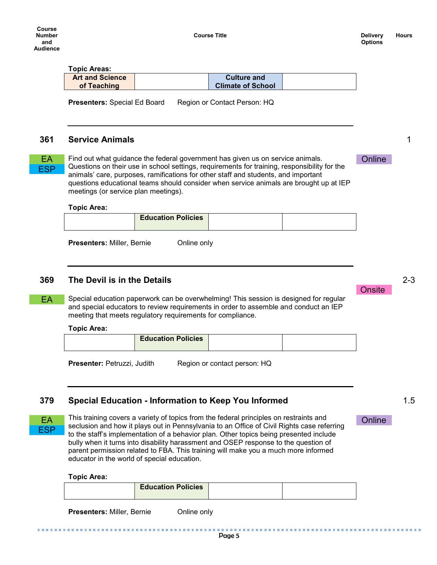## **Topic Areas:**

| <b>Art and Science</b> | <b>Culture and</b>       |  |
|------------------------|--------------------------|--|
| of Teaching            | <b>Climate of School</b> |  |

Presenters: Special Ed Board Region or Contact Person: HQ

#### **361 Service Animals**

**ESP** 

EA Find out what guidance the federal government has given us on service animals. Chline Questions on their use in school settings, requirements for training, responsibility for the animals' care, purposes, ramifications for other staff and students, and important questions educational teams should consider when service animals are brought up at IEP meetings (or service plan meetings).

#### **Topic Area:**

| <b>Education Policies</b> |  |
|---------------------------|--|
|                           |  |

**Presenters: Miller, Bernie Conline only** 

## **369 The Devil is in the Details**

Special education paperwork can be overwhelming! This session is designed for regular and special educators to review requirements in order to assemble and conduct an IEP meeting that meets regulatory requirements for compliance.

#### **Topic Area:**

|--|

**Presenter:** Petruzzi, Judith Region or contact person: HQ

## **379 Special Education - Information to Keep You Informed**



EA

EA This training covers a variety of topics from the federal principles on restraints and **Conline** seclusion and how it plays out in Pennsylvania to an Office of Civil Rights case referring to the staff's implementation of a behavior plan. Other topics being presented include bully when it turns into disability harassment and OSEP response to the question of parent permission related to FBA. This training will make you a much more informed educator in the world of special education.

#### **Topic Area:**

| <b>Education Policies</b> |  |
|---------------------------|--|
|                           |  |

**Presenters: Miller, Bernie Conline only** 

1

..........

1.5

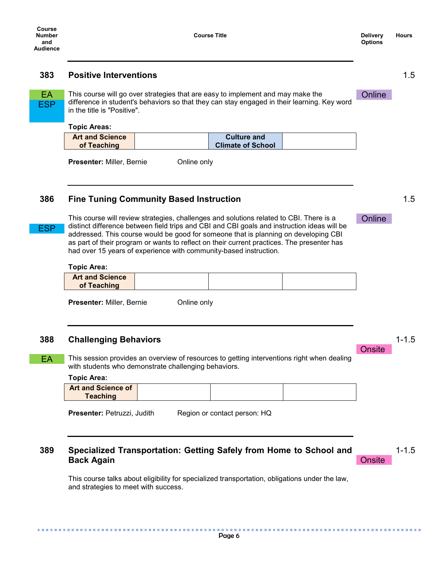#### **383 Positive Interventions**

**ESP** 

ESP

EA This course will go over strategies that are easy to implement and may make the Chline difference in student's behaviors so that they can stay engaged in their learning. Key word in the title is "Positive".

#### **Topic Areas:**

| <b>Art and Science</b> | <b>Culture and</b>       |  |
|------------------------|--------------------------|--|
| of Teaching            | <b>Climate of School</b> |  |
|                        |                          |  |

**Presenter:** Miller, Bernie **Conline only** 

## **386 Fine Tuning Community Based Instruction**

This course will review strategies, challenges and solutions related to CBI. There is a distinct difference between field trips and CBI and CBI goals and instruction ideas will be addressed. This course would be good for someone that is planning on developing CBI as part of their program or wants to reflect on their current practices. The presenter has had over 15 years of experience with community-based instruction.

#### **Topic Area:**

| <b>Art and Science</b> |  |  |
|------------------------|--|--|
| of Teaching            |  |  |

**Presenter:** Miller, Bernie **Conline only** 

#### **388 Challenging Behaviors**

This session provides an overview of resources to getting interventions right when dealing with students who demonstrate challenging behaviors. EA

#### **Topic Area:**

..............

| <b>Art and Science of</b><br>Teaching |
|---------------------------------------|
|---------------------------------------|

**Presenter:** Petruzzi, Judith Region or contact person: HQ

#### **389 Specialized Transportation: Getting Safely from Home to School and Back Again Onsite**

This course talks about eligibility for specialized transportation, obligations under the law, and strategies to meet with success.

1.5

#### **Online**

**Onsite** 

1-1.5

. . . . . .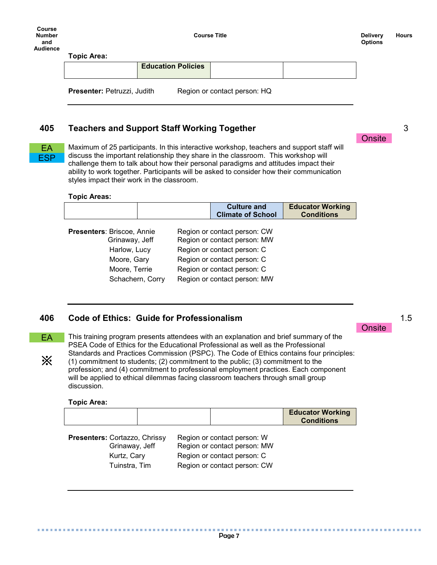**Education Policies**

**Presenter:** Petruzzi, Judith Region or contact person: HQ

## **405 Teachers and Support Staff Working Together**

EA **ESP** 

Maximum of 25 participants. In this interactive workshop, teachers and support staff will discuss the important relationship they share in the classroom. This workshop will challenge them to talk about how their personal paradigms and attitudes impact their ability to work together. Participants will be asked to consider how their communication styles impact their work in the classroom.

#### **Topic Areas:**

|                                                     |  | <b>Culture and</b><br><b>Climate of School</b>               | <b>Educator Working</b><br><b>Conditions</b> |
|-----------------------------------------------------|--|--------------------------------------------------------------|----------------------------------------------|
| <b>Presenters: Briscoe, Annie</b><br>Grinaway, Jeff |  | Region or contact person: CW<br>Region or contact person: MW |                                              |
| Harlow, Lucy                                        |  | Region or contact person: C                                  |                                              |
| Moore, Gary                                         |  | Region or contact person: C                                  |                                              |
| Moore, Terrie<br>Schachern, Corry                   |  | Region or contact person: C<br>Region or contact person: MW  |                                              |

## **406 Code of Ethics: Guide for Professionalism**

This training program presents attendees with an explanation and brief summary of the PSEA Code of Ethics for the Educational Professional as well as the Professional Standards and Practices Commission (PSPC). The Code of Ethics contains four principles: (1) commitment to students; (2) commitment to the public; (3) commitment to the profession; and (4) commitment to professional employment practices. Each component will be applied to ethical dilemmas facing classroom teachers through small group discussion. EA ※

#### **Topic Area:**

. . . . . . . . . .

|  | <b>Educator Working</b><br><b>Conditions</b> |
|--|----------------------------------------------|
|  |                                              |

| Presenters: Cortazzo, Chrissy | Region or contact person: W  |
|-------------------------------|------------------------------|
| Grinaway, Jeff                | Region or contact person: MW |
| Kurtz, Cary                   | Region or contact person: C  |
| Tuinstra, Tim                 | Region or contact person: CW |



3

1.5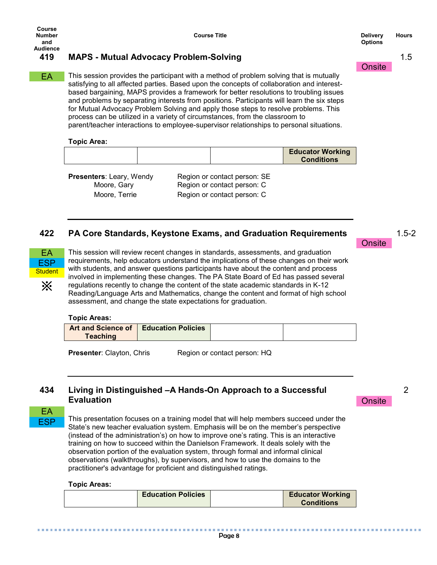## **419 MAPS - Mutual Advocacy Problem-Solving**

This session provides the participant with a method of problem solving that is mutually satisfying to all affected parties. Based upon the concepts of collaboration and interestbased bargaining, MAPS provides a framework for better resolutions to troubling issues and problems by separating interests from positions. Participants will learn the six steps for Mutual Advocacy Problem Solving and apply those steps to resolve problems. This process can be utilized in a variety of circumstances, from the classroom to parent/teacher interactions to employee-supervisor relationships to personal situations. EA

#### **Topic Area:**

|--|

**Presenters**: Leary, Wendy Region or contact person: SE Moore, Gary **Region or contact person: C** Moore, Terrie Region or contact person: C

## **422 PA Core Standards, Keystone Exams, and Graduation Requirements**



※

This session will review recent changes in standards, assessments, and graduation requirements, help educators understand the implications of these changes on their work with students, and answer questions participants have about the content and process involved in implementing these changes. The PA State Board of Ed has passed several regulations recently to change the content of the state academic standards in K-12 Reading/Language Arts and Mathematics, change the content and format of high school assessment, and change the state expectations for graduation.

#### **Topic Areas:**

| <b>Art and Science of</b> | <b>Education Policies</b> |  |
|---------------------------|---------------------------|--|
| <b>Teaching</b>           |                           |  |

**Presenter**: Clayton, Chris Region or contact person: HQ

## **434 Living in Distinguished –A Hands-On Approach to a Successful Evaluation**

EA **FSP** 

This presentation focuses on a training model that will help members succeed under the State's new teacher evaluation system. Emphasis will be on the member's perspective (instead of the administration's) on how to improve one's rating. This is an interactive training on how to succeed within the Danielson Framework. It deals solely with the observation portion of the evaluation system, through formal and informal clinical observations (walkthroughs), by supervisors, and how to use the domains to the practitioner's advantage for proficient and distinguished ratings.

#### **Topic Areas:**

. . . . . . . . . . . . . . . .

| <b>Education Policies</b> |  | <b>Educator Working</b><br><b>Conditions</b> |
|---------------------------|--|----------------------------------------------|
|---------------------------|--|----------------------------------------------|

2

**Onsite** 

**Onsite** 

1.5 **Onsite**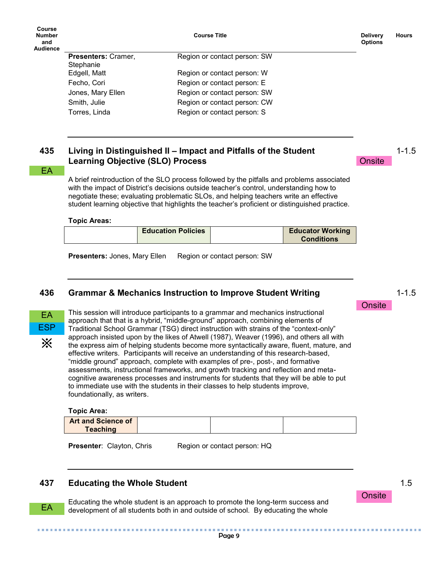| Course<br><b>Number</b><br>and<br><b>Audience</b> |                            | <b>Course Title</b>          | <b>Delivery</b><br><b>Options</b> | <b>Hours</b> |
|---------------------------------------------------|----------------------------|------------------------------|-----------------------------------|--------------|
|                                                   | <b>Presenters: Cramer,</b> | Region or contact person: SW |                                   |              |
|                                                   | Stephanie                  |                              |                                   |              |
|                                                   | Edgell, Matt               | Region or contact person: W  |                                   |              |
|                                                   | Fecho, Cori                | Region or contact person: E  |                                   |              |
|                                                   | Jones, Mary Ellen          | Region or contact person: SW |                                   |              |
|                                                   | Smith, Julie               | Region or contact person: CW |                                   |              |
|                                                   | Torres, Linda              | Region or contact person: S  |                                   |              |
|                                                   |                            |                              |                                   |              |

## **435 Living in Distinguished II – Impact and Pitfalls of the Student Learning Objective (SLO) Process**

#### EA

A brief reintroduction of the SLO process followed by the pitfalls and problems associated with the impact of District's decisions outside teacher's control, understanding how to negotiate these; evaluating problematic SLOs, and helping teachers write an effective student learning objective that highlights the teacher's proficient or distinguished practice.

#### **Topic Areas:**

| <b>Education Policies</b><br><b>Educator Working</b><br><b>Conditions</b> |
|---------------------------------------------------------------------------|
|---------------------------------------------------------------------------|

**Presenters:** Jones, Mary Ellen Region or contact person: SW

#### **436 Grammar & Mechanics Instruction to Improve Student Writing**



EA

This session will introduce participants to a grammar and mechanics instructional approach that that is a hybrid, "middle-ground" approach, combining elements of Traditional School Grammar (TSG) direct instruction with strains of the "context-only" approach insisted upon by the likes of Atwell (1987), Weaver (1996), and others all with the express aim of helping students become more syntactically aware, fluent, mature, and effective writers. Participants will receive an understanding of this research-based, "middle ground" approach, complete with examples of pre-, post-, and formative assessments, instructional frameworks, and growth tracking and reflection and metacognitive awareness processes and instruments for students that they will be able to put to immediate use with the students in their classes to help students improve, foundationally, as writers.

#### **Topic Area:**

| <b>Art and Science of</b> |  |
|---------------------------|--|
| <b>Teaching</b>           |  |

**Presenter:** Clayton, Chris Region or contact person: HQ

#### **437 Educating the Whole Student**

Educating the whole student is an approach to promote the long-term success and development of all students both in and outside of school. By educating the whole

1-1.5

1-1.5

**Onsite** 

**Onsite** 

1.5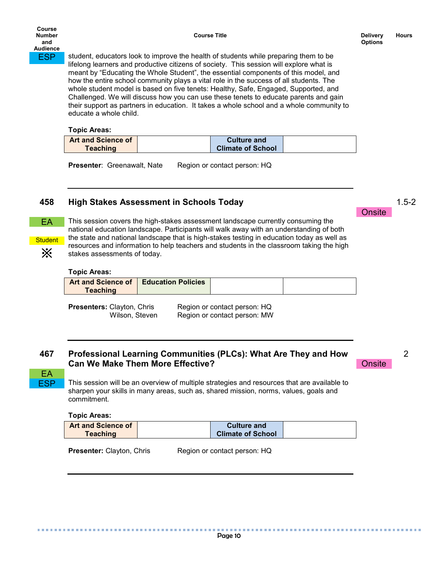**ESP** student, educators look to improve the health of students while preparing them to be lifelong learners and productive citizens of society. This session will explore what is meant by "Educating the Whole Student", the essential components of this model, and how the entire school community plays a vital role in the success of all students. The whole student model is based on five tenets: Healthy, Safe, Engaged, Supported, and Challenged. We will discuss how you can use these tenets to educate parents and gain their support as partners in education. It takes a whole school and a whole community to educate a whole child.

#### **Topic Areas:**

| <b>Art and Science of</b> | <b>Culture and</b>       |  |
|---------------------------|--------------------------|--|
| <b>Teaching</b>           | <b>Climate of School</b> |  |

**Presenter:** Greenawalt, Nate Region or contact person: HQ

## **458 High Stakes Assessment in Schools Today**



**Student** ※

EA **FSP**  This session covers the high-stakes assessment landscape currently consuming the national education landscape. Participants will walk away with an understanding of both the state and national landscape that is high-stakes testing in education today as well as resources and information to help teachers and students in the classroom taking the high stakes assessments of today.

#### **Topic Areas:**

| Art and Science of | <b>Education Policies</b> |  |
|--------------------|---------------------------|--|
| <b>Teaching</b>    |                           |  |

**Presenters:** Clayton, Chris Region or contact person: HQ Wilson, Steven Region or contact person: MW

## **467 Professional Learning Communities (PLCs): What Are They and How Can We Make Them More Effective?**

This session will be an overview of multiple strategies and resources that are available to sharpen your skills in many areas, such as, shared mission, norms, values, goals and commitment.

#### **Topic Areas:**

..............

| <b>Art and Science of</b> | <b>Culture and</b>       |  |
|---------------------------|--------------------------|--|
| <b>Teaching</b>           | <b>Climate of School</b> |  |

**Presenter:** Clayton, Chris Region or contact person: HQ

Page 10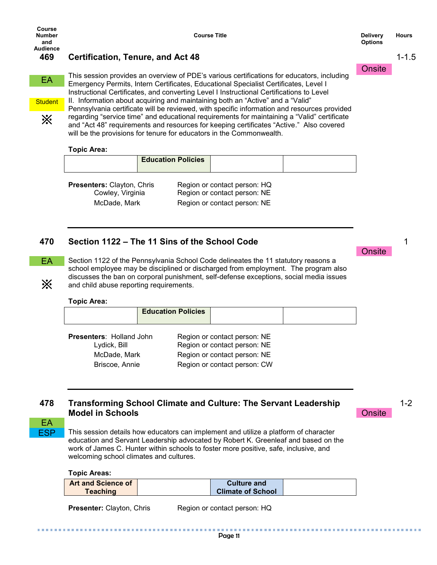※

1-1.5

## **469 Certification, Tenure, and Act 48**

This session provides an overview of PDE's various certifications for educators, including Emergency Permits, Intern Certificates, Educational Specialist Certificates, Level I Instructional Certificates, and converting Level I Instructional Certifications to Level EA **Student** 

II. Information about acquiring and maintaining both an "Active" and a "Valid" Pennsylvania certificate will be reviewed, with specific information and resources provided regarding "service time" and educational requirements for maintaining a "Valid" certificate and "Act 48" requirements and resources for keeping certificates "Active." Also covered will be the provisions for tenure for educators in the Commonwealth.

#### **Topic Area:**

|--|

**Presenters:** Clayton, Chris Region or contact person: HQ Cowley, Virginia Region or contact person: NE McDade, Mark Region or contact person: NE

## **470 Section 1122 – The 11 Sins of the School Code**

Section 1122 of the Pennsylvania School Code delineates the 11 statutory reasons a school employee may be disciplined or discharged from employment. The program also discusses the ban on corporal punishment, self-defense exceptions, social media issues and child abuse reporting requirements. EA

#### **Topic Area:**

|                                          | <b>Education Policies</b> |                                                              |  |
|------------------------------------------|---------------------------|--------------------------------------------------------------|--|
| Presenters: Holland John<br>Lydick, Bill |                           | Region or contact person: NE<br>Region or contact person: NE |  |
| McDade, Mark                             |                           | Region or contact person: NE                                 |  |

Briscoe, Annie Region or contact person: CW

## **478 Transforming School Climate and Culture: The Servant Leadership Model in Schools**

1-2

**Onsite** 

EA **ESP** 

※

This session details how educators can implement and utilize a platform of character education and Servant Leadership advocated by Robert K. Greenleaf and based on the work of James C. Hunter within schools to foster more positive, safe, inclusive, and welcoming school climates and cultures.

**Topic Areas:**

. . . . . . . . . . . . .

| <b>Art and Science of</b> | <b>Culture and</b>       |  |
|---------------------------|--------------------------|--|
| <b>Teaching</b>           | <b>Climate of School</b> |  |

**Presenter:** Clayton, Chris Region or contact person: HQ

Page 11

.......

1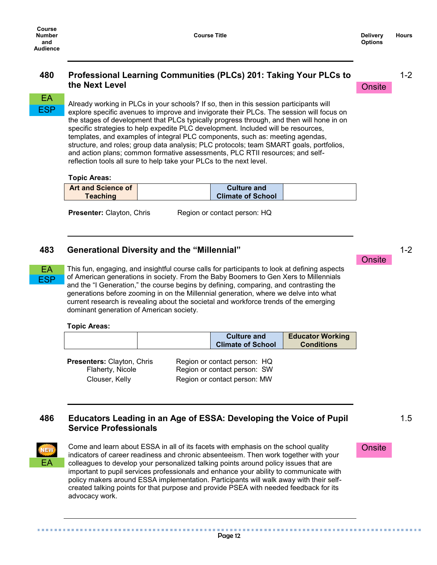## **480 Professional Learning Communities (PLCs) 201: Taking Your PLCs to the Next Level**

1-2

## **Onsite**

## EA **ESP**

EA ESP

Already working in PLCs in your schools? If so, then in this session participants will explore specific avenues to improve and invigorate their PLCs. The session will focus on the stages of development that PLCs typically progress through, and then will hone in on specific strategies to help expedite PLC development. Included will be resources, templates, and examples of integral PLC components, such as: meeting agendas, structure, and roles; group data analysis; PLC protocols; team SMART goals, portfolios, and action plans; common formative assessments, PLC RTII resources; and selfreflection tools all sure to help take your PLCs to the next level.

#### **Topic Areas:**

| <b>Art and Science of</b> | <b>Culture and</b>       |  |
|---------------------------|--------------------------|--|
| <b>Teaching</b>           | <b>Climate of School</b> |  |

**Presenter:** Clayton, Chris Region or contact person: HQ

## **483 Generational Diversity and the "Millennial"**

This fun, engaging, and insightful course calls for participants to look at defining aspects of American generations in society. From the Baby Boomers to Gen Xers to Millennials and the "I Generation," the course begins by defining, comparing, and contrasting the generations before zooming in on the Millennial generation, where we delve into what current research is revealing about the societal and workforce trends of the emerging dominant generation of American society.

#### **Topic Areas:**

|                                                                         | <b>Culture and</b><br><b>Climate of School</b>                                               | <b>Educator Working</b><br><b>Conditions</b> |
|-------------------------------------------------------------------------|----------------------------------------------------------------------------------------------|----------------------------------------------|
| <b>Presenters: Clayton, Chris</b><br>Flaherty, Nicole<br>Clouser, Kelly | Region or contact person: HQ<br>Region or contact person: SW<br>Region or contact person: MW |                                              |

## **486 Educators Leading in an Age of ESSA: Developing the Voice of Pupil Service Professionals**



Come and learn about ESSA in all of its facets with emphasis on the school quality indicators of career readiness and chronic absenteeism. Then work together with your colleagues to develop your personalized talking points around policy issues that are important to pupil services professionals and enhance your ability to communicate with policy makers around ESSA implementation. Participants will walk away with their selfcreated talking points for that purpose and provide PSEA with needed feedback for its advocacy work.

1-2 **Onsite** 

1.5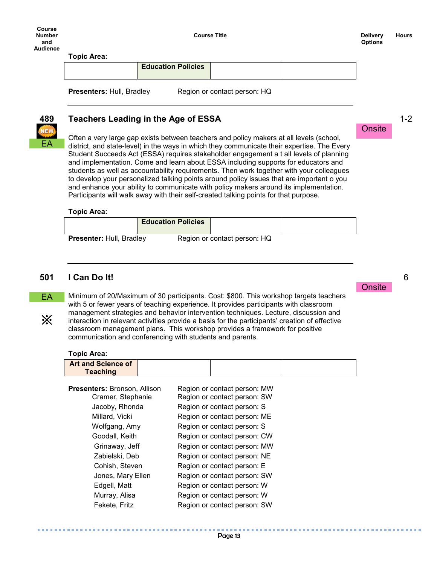**Course Title Delivery Delivery** 

**Onsite** 

**Onsite** 

**Topic Area:**

**Education Policies**

**Presenters:** Hull, Bradley Region or contact person: HQ



## **489 Teachers Leading in the Age of ESSA**

Often a very large gap exists between teachers and policy makers at all levels (school, district, and state-level) in the ways in which they communicate their expertise. The Every Student Succeeds Act (ESSA) requires stakeholder engagement a t all levels of planning and implementation. Come and learn about ESSA including supports for educators and students as well as accountability requirements. Then work together with your colleagues to develop your personalized talking points around policy issues that are important o you and enhance your ability to communicate with policy makers around its implementation. Participants will walk away with their self-created talking points for that purpose.

#### **Topic Area:**

|                                 | <b>Education Policies</b> |                              |  |
|---------------------------------|---------------------------|------------------------------|--|
| <b>Presenter: Hull, Bradley</b> |                           | Region or contact person: HQ |  |

## **501 I Can Do It!**

EA

※

. . . . . . . . . . . .

Minimum of 20/Maximum of 30 participants. Cost: \$800. This workshop targets teachers with 5 or fewer years of teaching experience. It provides participants with classroom management strategies and behavior intervention techniques. Lecture, discussion and interaction in relevant activities provide a basis for the participants' creation of effective classroom management plans. This workshop provides a framework for positive communication and conferencing with students and parents.

#### **Topic Area:**

| Topic Area:                                  |                              |
|----------------------------------------------|------------------------------|
| <b>Art and Science of</b><br><b>Teaching</b> |                              |
| <b>Presenters: Bronson, Allison</b>          | Region or contact person: MW |
| Cramer, Stephanie                            | Region or contact person: SW |
| Jacoby, Rhonda                               | Region or contact person: S  |
| Millard, Vicki                               | Region or contact person: ME |
| Wolfgang, Amy                                | Region or contact person: S  |
| Goodall, Keith                               | Region or contact person: CW |
| Grinaway, Jeff                               | Region or contact person: MW |
| Zabielski, Deb                               | Region or contact person: NE |
| Cohish, Steven                               | Region or contact person: E  |
| Jones, Mary Ellen                            | Region or contact person: SW |
| Edgell, Matt                                 | Region or contact person: W  |
| Murray, Alisa                                | Region or contact person: W  |
| Fekete, Fritz                                | Region or contact person: SW |

1-2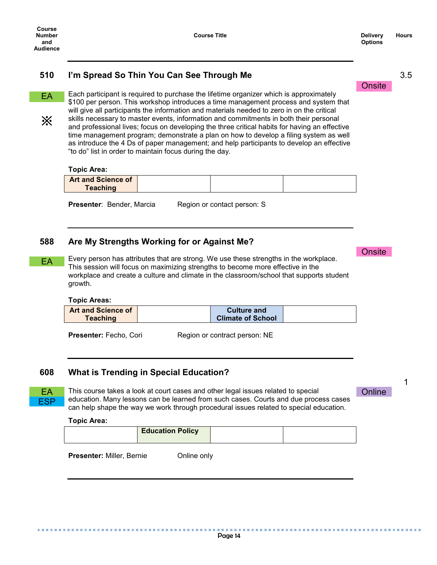3.5

## **510 I'm Spread So Thin You Can See Through Me**

EA

※

Each participant is required to purchase the lifetime organizer which is approximately \$100 per person. This workshop introduces a time management process and system that will give all participants the information and materials needed to zero in on the critical skills necessary to master events, information and commitments in both their personal and professional lives; focus on developing the three critical habits for having an effective time management program; demonstrate a plan on how to develop a filing system as well as introduce the 4 Ds of paper management; and help participants to develop an effective "to do" list in order to maintain focus during the day.

#### **Topic Area:**

| <b>Art and Science of</b> |  |  |
|---------------------------|--|--|
| <b>Teaching</b>           |  |  |

**Presenter:** Bender, Marcia Region or contact person: S

#### **588 Are My Strengths Working for or Against Me?**

Every person has attributes that are strong. We use these strengths in the workplace. This session will focus on maximizing strengths to become more effective in the workplace and create a culture and climate in the classroom/school that supports student growth. EA

#### **Topic Areas:**

| <b>Art and Science of</b> | <b>Culture and</b>       |  |
|---------------------------|--------------------------|--|
| <b>Teaching</b>           | <b>Climate of School</b> |  |

**Presenter:** Fecho, Cori Region or contract person: NE

#### **608 What is Trending in Special Education?**

. . . . . . . . .



..............

EA This course takes a look at court cases and other legal issues related to special **Chiline** education. Many lessons can be learned from such cases. Courts and due process cases can help shape the way we work through procedural issues related to special education.

#### **Topic Area:**

| <b>Education Policy</b> |  |
|-------------------------|--|
|                         |  |

**Presenter:** Miller, Bernie **Conline only** 

1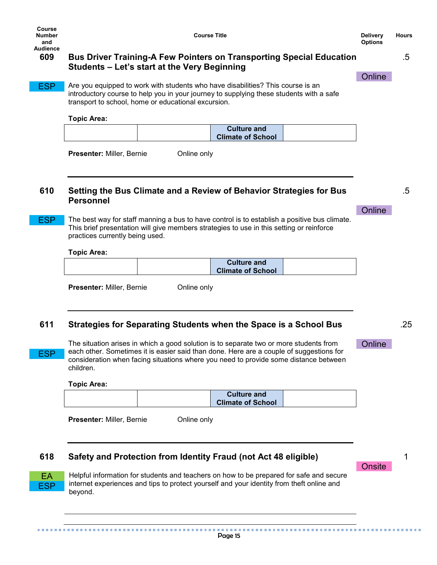**Online** 

**Online** 

**Online** 

**Onsite** 

#### .5

.5

.25

1

## **609 Bus Driver Training-A Few Pointers on Transporting Special Education Students – Let's start at the Very Beginning**

ESP

Are you equipped to work with students who have disabilities? This course is an introductory course to help you in your journey to supplying these students with a safe transport to school, home or educational excursion.

#### **Topic Area:**

| <b>Culture and</b>       |  |
|--------------------------|--|
| <b>Climate of School</b> |  |

| Presenter: Miller, Bernie |  |
|---------------------------|--|
|                           |  |

**Present Online only** 

## **610 Setting the Bus Climate and a Review of Behavior Strategies for Bus Personnel**

ESP

The best way for staff manning a bus to have control is to establish a positive bus climate. This brief presentation will give members strategies to use in this setting or reinforce practices currently being used.

#### **Topic Area:**

|  | <b>Culture and</b>       |  |
|--|--------------------------|--|
|  | <b>Climate of School</b> |  |
|  |                          |  |

**Presenter:** Miller, Bernie **Conline only** 

## **611 Strategies for Separating Students when the Space is a School Bus**

The situation arises in which a good solution is to separate two or more students from each other. Sometimes it is easier said than done. Here are a couple of suggestions for consideration when facing situations where you need to provide some distance between children.

#### **Topic Area:**

|  | <b>Culture and</b><br><b>Climate of School</b> |  |
|--|------------------------------------------------|--|
|  |                                                |  |

**Presenter:** Miller, Bernie **Conline only** 

## **618 Safety and Protection from Identity Fraud (not Act 48 eligible)**



**ESP** 

Helpful information for students and teachers on how to be prepared for safe and secure internet experiences and tips to protect yourself and your identity from theft online and beyond.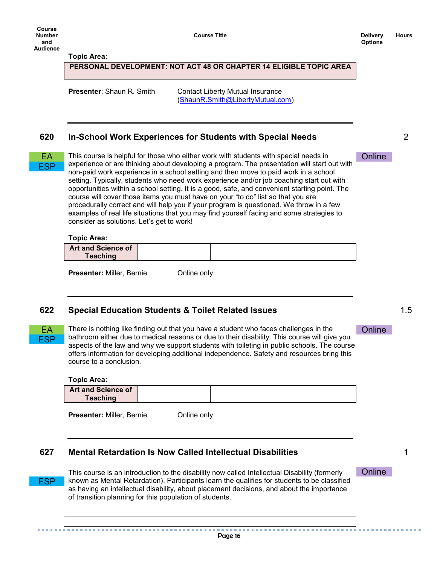**Course Title Delivery Delivery** 

#### **Topic Area:**

#### **PERSONAL DEVELOPMENT: NOT ACT 48 OR CHAPTER 14 ELIGIBLE TOPIC AREA**

**Presenter:** Shaun R. Smith Contact Liberty Mutual Insurance [\(ShaunR.Smith@LibertyMutual.com\)](mailto:ShaunR.Smith@LibertyMutual.com)

#### **620 In-School Work Experiences for Students with Special Needs**

| <b>Service Service</b> |  |
|------------------------|--|
|                        |  |

EA This course is helpful for those who either work with students with special needs in Chline experience or are thinking about developing a program. The presentation will start out with non-paid work experience in a school setting and then move to paid work in a school setting. Typically, students who need work experience and/or job coaching start out with opportunities within a school setting. It is a good, safe, and convenient starting point. The course will cover those items you must have on your "to do" list so that you are procedurally correct and will help you if your program is questioned. We throw in a few examples of real life situations that you may find yourself facing and some strategies to consider as solutions. Let's get to work!

#### **Topic Area:**

| <b>Art and Science of</b> |  |  |
|---------------------------|--|--|
| Teaching                  |  |  |

**Presenter:** Miller, Bernie **Conline only** 

#### **622 Special Education Students & Toilet Related Issues**

ESP

EA There is nothing like finding out that you have a student who faces challenges in the Chline bathroom either due to medical reasons or due to their disability. This course will give you aspects of the law and why we support students with toileting in public schools. The course offers information for developing additional independence. Safety and resources bring this course to a conclusion.

**Topic Area:**

| <b>Art and Science of</b> |  |  |
|---------------------------|--|--|
| <b>Teaching</b>           |  |  |
|                           |  |  |

**Presenter:** Miller, Bernie **Online only** 

### **627 Mental Retardation Is Now Called Intellectual Disabilities**

-----------------------------------

This course is an introduction to the disability now called Intellectual Disability (formerly known as Mental Retardation). Participants learn the qualifies for students to be classified as having an intellectual disability, about placement decisions, and about the importance of transition planning for this population of students. ESP

2

1.5

1

**Online** 

---------------------------------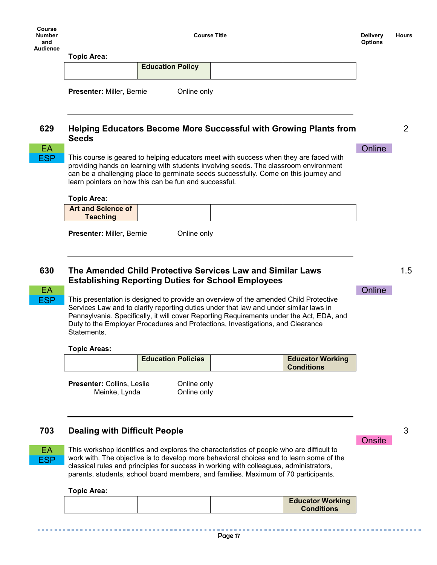|            | <b>Topic Area:</b>                                                                                                                                                                                                                                                                                                             |                         |  |                                                                          |        |
|------------|--------------------------------------------------------------------------------------------------------------------------------------------------------------------------------------------------------------------------------------------------------------------------------------------------------------------------------|-------------------------|--|--------------------------------------------------------------------------|--------|
|            |                                                                                                                                                                                                                                                                                                                                | <b>Education Policy</b> |  |                                                                          |        |
|            | <b>Presenter: Miller, Bernie</b>                                                                                                                                                                                                                                                                                               | Online only             |  |                                                                          |        |
|            |                                                                                                                                                                                                                                                                                                                                |                         |  |                                                                          |        |
| 629        | <b>Seeds</b>                                                                                                                                                                                                                                                                                                                   |                         |  | <b>Helping Educators Become More Successful with Growing Plants from</b> |        |
| <b>EA</b>  |                                                                                                                                                                                                                                                                                                                                |                         |  |                                                                          | Online |
|            | This course is geared to helping educators meet with success when they are faced with<br>providing hands on learning with students involving seeds. The classroom environment<br>can be a challenging place to germinate seeds successfully. Come on this journey and<br>learn pointers on how this can be fun and successful. |                         |  |                                                                          |        |
|            |                                                                                                                                                                                                                                                                                                                                |                         |  |                                                                          |        |
| <b>ESP</b> | <b>Topic Area:</b>                                                                                                                                                                                                                                                                                                             |                         |  |                                                                          |        |

**630 The Amended Child Protective Services Law and Similar Laws Establishing Reporting Duties for School Employees**

# **ESP**

EA **ESP** 

ESP

This presentation is designed to provide an overview of the amended Child Protective Services Law and to clarify reporting duties under that law and under similar laws in Pennsylvania. Specifically, it will cover Reporting Requirements under the Act, EDA, and Duty to the Employer Procedures and Protections, Investigations, and Clearance Statements.

#### **Topic Areas:**

| <b>Education Policies</b> | <b>Educator Working</b><br><b>Conditions</b> |
|---------------------------|----------------------------------------------|
|                           |                                              |

**Presenter:** Collins, Leslie **Online only** Meinke, Lynda **Online only** 

## **703 Dealing with Difficult People**

..............

This workshop identifies and explores the characteristics of people who are difficult to work with. The objective is to develop more behavioral choices and to learn some of the classical rules and principles for success in working with colleagues, administrators, parents, students, school board members, and families. Maximum of 70 participants.

## **Topic Area:**

..............

| <b>Conditions</b> |  |
|-------------------|--|
|-------------------|--|

1.5

2

## EA CONTRACTE CONTRACTE CONTRACTE CONTRACTE CONTRACTE CONTRACTE CONTRACTE CONTRACTE CONTRACTE CONTRACTE CONTRACTE

**Onsite** 

3

. . . . . . .

...........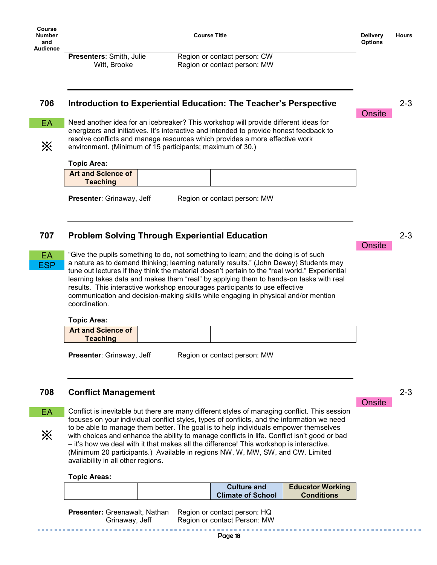**Course Title Delivery Delivery** 

**Onsite** 

2-3

**Presenters:** Smith, Julie Region or contact person: CW Witt, Brooke Region or contact person: MW

## **706 Introduction to Experiential Education: The Teacher's Perspective**

EA

※

Need another idea for an icebreaker? This workshop will provide different ideas for energizers and initiatives. It's interactive and intended to provide honest feedback to resolve conflicts and manage resources which provides a more effective work environment. (Minimum of 15 participants; maximum of 30.)

#### **Topic Area:**

| <b>Art and Science of</b> |  |  |
|---------------------------|--|--|
| Teaching                  |  |  |

**Presenter**: Grinaway, Jeff Region or contact person: MW

## **707 Problem Solving Through Experiential Education**

EA ESP

"Give the pupils something to do, not something to learn; and the doing is of such a nature as to demand thinking; learning naturally results." (John Dewey) Students may tune out lectures if they think the material doesn't pertain to the "real world." Experiential learning takes data and makes them "real" by applying them to hands-on tasks with real results. This interactive workshop encourages participants to use effective communication and decision-making skills while engaging in physical and/or mention coordination.

#### **Topic Area:**

| <b>Art and Science of</b> |  |  |
|---------------------------|--|--|
| <b>Teaching</b>           |  |  |
|                           |  |  |

**Presenter**: Grinaway, Jeff Region or contact person: MW

## **708 Conflict Management**

EA ※

Conflict is inevitable but there are many different styles of managing conflict. This session focuses on your individual conflict styles, types of conflicts, and the information we need to be able to manage them better. The goal is to help individuals empower themselves with choices and enhance the ability to manage conflicts in life. Conflict isn't good or bad – it's how we deal with it that makes all the difference! This workshop is interactive. (Minimum 20 participants.) Available in regions NW, W, MW, SW, and CW. Limited availability in all other regions.

#### **Topic Areas:**

|  | <b>Culture and</b>       | <b>Educator Working</b> |
|--|--------------------------|-------------------------|
|  | <b>Climate of School</b> | <b>Conditions</b>       |
|  |                          |                         |

**Presenter:** Greenawalt, Nathan Region or contact person: HQ Grinaway, Jeff Region or contact Person: MW 2-3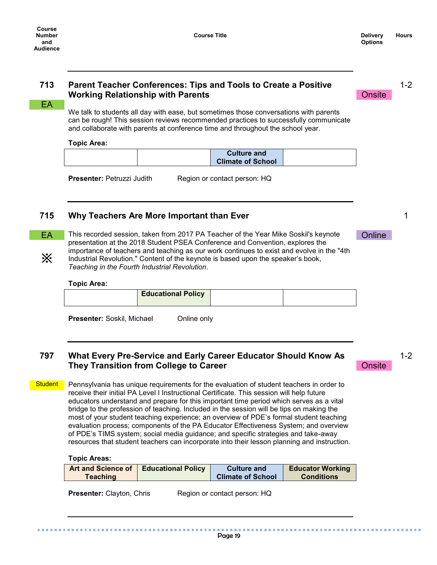**Onsite** 

1-2

1

## **713 Parent Teacher Conferences: Tips and Tools to Create a Positive Working Relationship with Parents**

EA :

We talk to students all day with ease, but sometimes those conversations with parents can be rough! This session reviews recommended practices to successfully communicate and collaborate with parents at conference time and throughout the school year.

#### **Topic Area:**

| <b>Culture and</b>       |  |
|--------------------------|--|
| <b>Climate of School</b> |  |

**Presenter:** Petruzzi Judith Region or contact person: HQ

## **715 Why Teachers Are More Important than Ever**

※

EA This recorded session, taken from 2017 PA Teacher of the Year Mike Soskil's keynote Chline presentation at the 2018 Student PSEA Conference and Convention, explores the importance of teachers and teaching as our work continues to exist and evolve in the "4th Industrial Revolution." Content of the keynote is based upon the speaker's book, *Teaching in the Fourth Industrial Revolution*.

#### **Topic Area:**

| <b>Educational Policy</b> |  |
|---------------------------|--|
|                           |  |

**Presenter:** Soskil, Michael **Online only** 

## **797 What Every Pre-Service and Early Career Educator Should Know As They Transition from College to Career**

1-2 **Onsite** 

Pennsylvania has unique requirements for the evaluation of student teachers in order to receive their initial PA Level I Instructional Certificate. This session will help future educators understand and prepare for this important time period which serves as a vital bridge to the profession of teaching. Included in the session will be tips on making the most of your student teaching experience; an overview of PDE's formal student teaching evaluation process; components of the PA Educator Effectiveness System; and overview of PDE's TIMS system; social media guidance; and specific strategies and take-away resources that student teachers can incorporate into their lesson planning and instruction. **Student** 

**Topic Areas:**

| <b>Art and Science of</b> | <b>Educational Policy</b> | <b>Culture and</b>       | <b>Educator Working</b> |
|---------------------------|---------------------------|--------------------------|-------------------------|
| <b>Teaching</b>           |                           | <b>Climate of School</b> | <b>Conditions</b>       |
|                           |                           |                          |                         |

**Presenter:** Clayton, Chris Region or contact person: HQ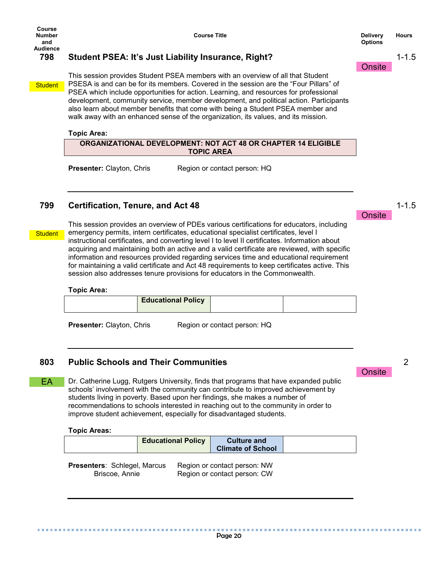## **798 Student PSEA: It's Just Liability Insurance, Right?**

**Student** 

**Student** 

EA

This session provides Student PSEA members with an overview of all that Student PSESA is and can be for its members. Covered in the session are the "Four Pillars" of PSEA which include opportunities for action. Learning, and resources for professional development, community service, member development, and political action. Participants also learn about member benefits that come with being a Student PSEA member and walk away with an enhanced sense of the organization, its values, and its mission.

#### **Topic Area:**

**ORGANIZATIONAL DEVELOPMENT: NOT ACT 48 OR CHAPTER 14 ELIGIBLE TOPIC AREA**

**Presenter:** Clayton, Chris Region or contact person: HQ

## **799 Certification, Tenure, and Act 48**

This session provides an overview of PDEs various certifications for educators, including emergency permits, intern certificates, educational specialist certificates, level I instructional certificates, and converting level I to level II certificates. Information about acquiring and maintaining both an active and a valid certificate are reviewed, with specific information and resources provided regarding services time and educational requirement for maintaining a valid certificate and Act 48 requirements to keep certificates active. This session also addresses tenure provisions for educators in the Commonwealth.

#### **Topic Area:**

| <b>Educational Policy</b> |  |
|---------------------------|--|
|                           |  |

**Presenter:** Clayton, Chris Region or contact person: HQ

## **803 Public Schools and Their Communities**

Dr. Catherine Lugg, Rutgers University, finds that programs that have expanded public schools' involvement with the community can contribute to improved achievement by students living in poverty. Based upon her findings, she makes a number of recommendations to schools interested in reaching out to the community in order to improve student achievement, especially for disadvantaged students.

#### **Topic Areas:**

| <b>Educational Policy</b> | <b>Culture and</b><br><b>Climate of School</b> |  |
|---------------------------|------------------------------------------------|--|
|                           |                                                |  |

**Presenters: Schlegel, Marcus Region or contact person: NW** Briscoe, Annie Region or contact person: CW

**Course Title Delivery Delivery Options Hours**

**Onsite** 

1-1.5

1-1.5

**Onsite**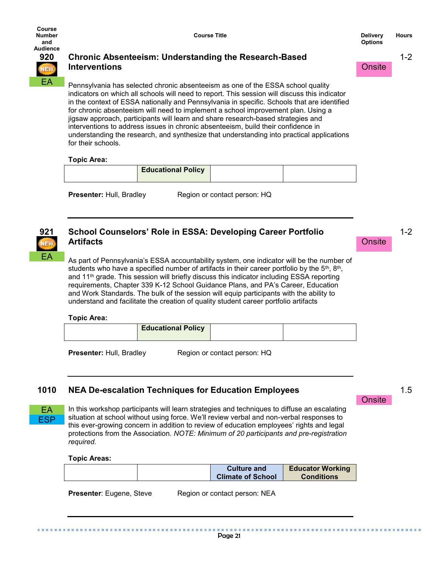**Onsite** 

1-2



## **920 Chronic Absenteeism: Understanding the Research-Based Interventions**

Pennsylvania has selected chronic absenteeism as one of the ESSA school quality indicators on which all schools will need to report. This session will discuss this indicator in the context of ESSA nationally and Pennsylvania in specific. Schools that are identified for chronic absenteeism will need to implement a school improvement plan. Using a jigsaw approach, participants will learn and share research-based strategies and interventions to address issues in chronic absenteeism, build their confidence in understanding the research, and synthesize that understanding into practical applications for their schools.

## **Topic Area:**

| <b>Educational Policy</b> |  |
|---------------------------|--|
|                           |  |

**Presenter:** Hull, Bradley Region or contact person: HQ

# EA

## **921 School Counselors' Role in ESSA: Developing Career Portfolio Artifacts**

As part of Pennsylvania's ESSA accountability system, one indicator will be the number of students who have a specified number of artifacts in their career portfolio by the  $5<sup>th</sup>$ , 8<sup>th</sup>, and 11<sup>th</sup> grade. This session will briefly discuss this indicator including ESSA reporting requirements, Chapter 339 K-12 School Guidance Plans, and PA's Career, Education and Work Standards. The bulk of the session will equip participants with the ability to understand and facilitate the creation of quality student career portfolio artifacts

## **Topic Area:**

| <b>Educational Policy</b> |  |
|---------------------------|--|
|                           |  |

**Presenter:** Hull, Bradley Region or contact person: HQ

## **1010 NEA De-escalation Techniques for Education Employees**

EA **ESP** 

In this workshop participants will learn strategies and techniques to diffuse an escalating situation at school without using force. We'll review verbal and non-verbal responses to this ever-growing concern in addition to review of education employees' rights and legal protections from the Association. *NOTE: Minimum of 20 participants and pre-registration required.*

#### **Topic Areas:**

|  | <b>Culture and</b><br><b>Climate of School</b> | <b>Educator Working</b><br><b>Conditions</b> |
|--|------------------------------------------------|----------------------------------------------|
|  |                                                |                                              |

**Presenter**: Eugene, Steve Region or contact person: NEA

**Onsite** 

1-2

1.5

. . . . . . .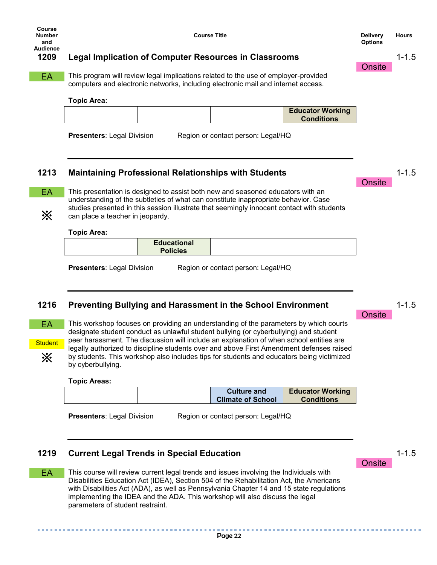## **1209 Legal Implication of Computer Resources in Classrooms**

This program will review legal implications related to the use of employer-provided computers and electronic networks, including electronic mail and internet access. EA

#### **Topic Area:**

| <b>Educator Working</b><br><b>Conditions</b> |  |
|----------------------------------------------|--|
|----------------------------------------------|--|

**Presenters**: Legal Division Region or contact person: Legal/HQ

## **1213 Maintaining Professional Relationships with Students**

EA

※

This presentation is designed to assist both new and seasoned educators with an understanding of the subtleties of what can constitute inappropriate behavior. Case studies presented in this session illustrate that seemingly innocent contact with students can place a teacher in jeopardy.

#### **Topic Area:**

**Presenters**: Legal Division Region or contact person: Legal/HQ

## **1216 Preventing Bullying and Harassment in the School Environment**



This workshop focuses on providing an understanding of the parameters by which courts designate student conduct as unlawful student bullying (or cyberbullying) and student peer harassment. The discussion will include an explanation of when school entities are legally authorized to discipline students over and above First Amendment defenses raised by students. This workshop also includes tips for students and educators being victimized by cyberbullying.

#### **Topic Areas:**

.............

|  | <b>Culture and</b>       | <b>Educator Working</b> |
|--|--------------------------|-------------------------|
|  | <b>Climate of School</b> | <b>Conditions</b>       |
|  |                          |                         |

**Presenters**: Legal Division Region or contact person: Legal/HQ

## **1219 Current Legal Trends in Special Education**

This course will review current legal trends and issues involving the Individuals with Disabilities Education Act (IDEA), Section 504 of the Rehabilitation Act, the Americans with Disabilities Act (ADA), as well as Pennsylvania Chapter 14 and 15 state regulations implementing the IDEA and the ADA. This workshop will also discuss the legal parameters of student restraint. EA

1-1.5

1-1.5

........

## **Onsite**

**Onsite** 

**Onsite** 

**Onsite** 

1-1.5

1-1.5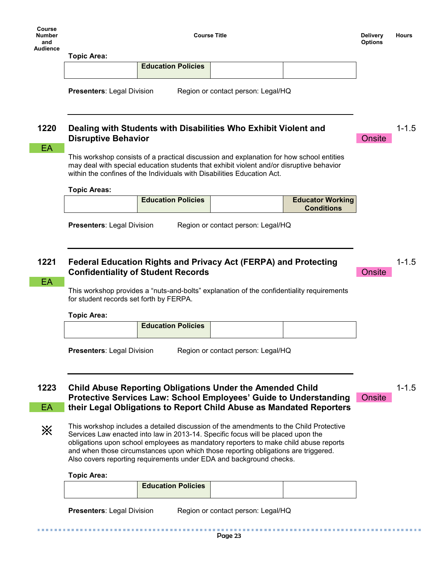| Course<br><b>Number</b><br>and<br><b>Audience</b> |                                   |                                                                         | <b>Course Title</b>                                                                                                                                                                  |                                              | <b>Delivery</b><br><b>Options</b> | <b>Hours</b> |
|---------------------------------------------------|-----------------------------------|-------------------------------------------------------------------------|--------------------------------------------------------------------------------------------------------------------------------------------------------------------------------------|----------------------------------------------|-----------------------------------|--------------|
|                                                   | <b>Topic Area:</b>                |                                                                         |                                                                                                                                                                                      |                                              |                                   |              |
|                                                   |                                   | <b>Education Policies</b>                                               |                                                                                                                                                                                      |                                              |                                   |              |
|                                                   | <b>Presenters: Legal Division</b> |                                                                         | Region or contact person: Legal/HQ                                                                                                                                                   |                                              |                                   |              |
| 1220<br>EA                                        | <b>Disruptive Behavior</b>        |                                                                         | Dealing with Students with Disabilities Who Exhibit Violent and                                                                                                                      |                                              | Onsite                            | $1 - 1.5$    |
|                                                   |                                   | within the confines of the Individuals with Disabilities Education Act. | This workshop consists of a practical discussion and explanation for how school entities<br>may deal with special education students that exhibit violent and/or disruptive behavior |                                              |                                   |              |
|                                                   | <b>Topic Areas:</b>               |                                                                         |                                                                                                                                                                                      |                                              |                                   |              |
|                                                   |                                   | <b>Education Policies</b>                                               |                                                                                                                                                                                      | <b>Educator Working</b><br><b>Conditions</b> |                                   |              |

**Presenters**: Legal Division Region or contact person: Legal/HQ

## **1221 Federal Education Rights and Privacy Act (FERPA) and Protecting Confidentiality of Student Records**

#### EA :

※

This workshop provides a "nuts-and-bolts" explanation of the confidentiality requirements for student records set forth by FERPA.

**Topic Area:**

| <b>Education Policies</b> |  |
|---------------------------|--|
|                           |  |

**Presenters**: Legal Division Region or contact person: Legal/HQ

**1223 Child Abuse Reporting Obligations Under the Amended Child Protective Services Law: School Employees' Guide to Understanding their Legal Obligations to Report Child Abuse as Mandated Reporters** EA

1-1.5

1-1.5

**Onsite** 

**Onsite** 

This workshop includes a detailed discussion of the amendments to the Child Protective Services Law enacted into law in 2013-14. Specific focus will be placed upon the obligations upon school employees as mandatory reporters to make child abuse reports and when those circumstances upon which those reporting obligations are triggered. Also covers reporting requirements under EDA and background checks.

#### **Topic Area:**

.............

|--|

| <b>Presenters: Legal Division</b> | Region or contact person: Legal/HQ |  |
|-----------------------------------|------------------------------------|--|
|                                   |                                    |  |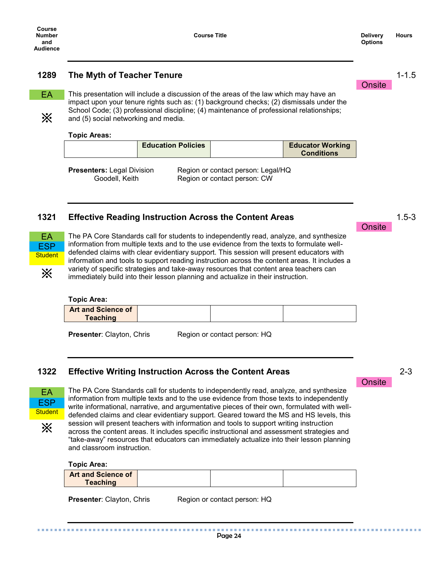**Onsite** 

1-1.5

1.5-3

#### **1289 The Myth of Teacher Tenure**

EA

※

This presentation will include a discussion of the areas of the law which may have an impact upon your tenure rights such as: (1) background checks; (2) dismissals under the School Code; (3) professional discipline; (4) maintenance of professional relationships; and (5) social networking and media.

#### **Topic Areas:**

| <b>Education Policies</b> | <b>Educator Working</b><br><b>Conditions</b> |
|---------------------------|----------------------------------------------|
| .                         | $\cdots$                                     |

**Presenters:** Legal Division Region or contact person: Legal/HQ Goodell, Keith Region or contact person: CW

#### **1321 Effective Reading Instruction Across the Content Areas**



The PA Core Standards call for students to independently read, analyze, and synthesize information from multiple texts and to the use evidence from the texts to formulate welldefended claims with clear evidentiary support. This session will present educators with information and tools to support reading instruction across the content areas. It includes a variety of specific strategies and take-away resources that content area teachers can immediately build into their lesson planning and actualize in their instruction.

#### **Topic Area:**

| <b>Art and Science of</b> |  |
|---------------------------|--|
| <b>Teaching</b>           |  |

**Presenter**: Clayton, Chris Region or contact person: HQ

#### **1322 Effective Writing Instruction Across the Content Areas**



※

The PA Core Standards call for students to independently read, analyze, and synthesize information from multiple texts and to the use evidence from those texts to independently write informational, narrative, and argumentative pieces of their own, formulated with welldefended claims and clear evidentiary support. Geared toward the MS and HS levels, this session will present teachers with information and tools to support writing instruction across the content areas. It includes specific instructional and assessment strategies and "take-away" resources that educators can immediately actualize into their lesson planning

**Topic Area:**

| <b>Art and Science of</b> |  |  |
|---------------------------|--|--|
| <b>Teaching</b>           |  |  |

and classroom instruction.

**Presenter:** Clayton, Chris Region or contact person: HQ

Page 24

**Onsite**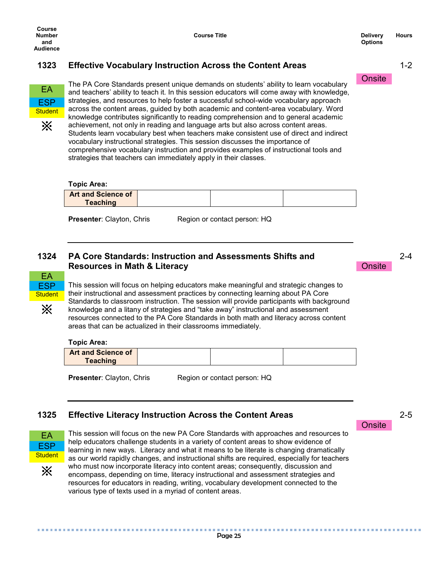**Onsite** 

1-2

## **1323 Effective Vocabulary Instruction Across the Content Areas**



The PA Core Standards present unique demands on students' ability to learn vocabulary and teachers' ability to teach it. In this session educators will come away with knowledge, strategies, and resources to help foster a successful school-wide vocabulary approach across the content areas, guided by both academic and content-area vocabulary. Word knowledge contributes significantly to reading comprehension and to general academic achievement, not only in reading and language arts but also across content areas. Students learn vocabulary best when teachers make consistent use of direct and indirect vocabulary instructional strategies. This session discusses the importance of comprehensive vocabulary instruction and provides examples of instructional tools and strategies that teachers can immediately apply in their classes.

## **Topic Area: Art and Science of Teaching**

**Presenter:** Clayton, Chris Region or contact person: HQ

## **1324 PA Core Standards: Instruction and Assessments Shifts and Resources in Math & Literacy**



This session will focus on helping educators make meaningful and strategic changes to their instructional and assessment practices by connecting learning about PA Core Standards to classroom instruction. The session will provide participants with background knowledge and a litany of strategies and "take away" instructional and assessment resources connected to the PA Core Standards in both math and literacy across content areas that can be actualized in their classrooms immediately.

#### **Topic Area:**

| <b>Art and Science of</b><br>Teaching |  |  |
|---------------------------------------|--|--|
|                                       |  |  |

**Presenter:** Clayton, Chris Region or contact person: HQ

## **1325 Effective Literacy Instruction Across the Content Areas**



※

This session will focus on the new PA Core Standards with approaches and resources to help educators challenge students in a variety of content areas to show evidence of learning in new ways. Literacy and what it means to be literate is changing dramatically as our world rapidly changes, and instructional shifts are required, especially for teachers who must now incorporate literacy into content areas; consequently, discussion and encompass, depending on time, literacy instructional and assessment strategies and resources for educators in reading, writing, vocabulary development connected to the various type of texts used in a myriad of content areas.

**Onsite** 

**Onsite** 

2-5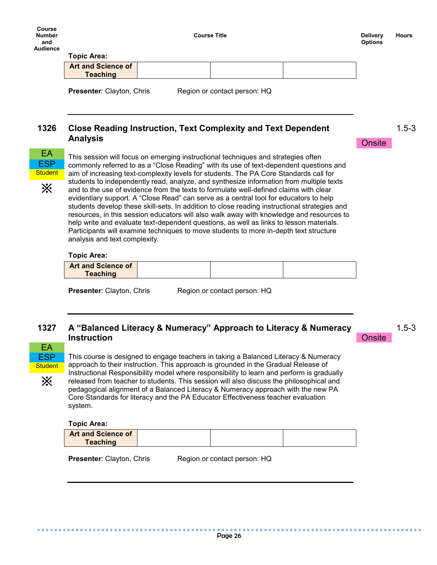**Course Title Delivery Delivery** 

**Onsite** 

1.5-3

#### **Topic Area:**

| I VIIU NI GA.                         |                              |  |
|---------------------------------------|------------------------------|--|
| <b>Art and Science of</b><br>Teaching |                              |  |
| <b>Presenter: Clayton, Chris</b>      | Region or contact person: HQ |  |

**1326 Close Reading Instruction, Text Complexity and Text Dependent Analysis**



※

This session will focus on emerging instructional techniques and strategies often commonly referred to as a "Close Reading" with its use of text-dependent questions and aim of increasing text-complexity levels for students. The PA Core Standards call for students to independently read, analyze, and synthesize information from multiple texts and to the use of evidence from the texts to formulate well-defined claims with clear evidentiary support. A "Close Read" can serve as a central tool for educators to help students develop these skill-sets. In addition to close reading instructional strategies and resources, in this session educators will also walk away with knowledge and resources to help write and evaluate text-dependent questions, as well as links to lesson materials. Participants will examine techniques to move students to more in-depth text structure analysis and text complexity.

#### **Topic Area:**

|                 | <b>Art and Science of</b> |  |
|-----------------|---------------------------|--|
| <b>Teaching</b> |                           |  |

**Presenter**: Clayton, Chris Region or contact person: HQ

## **1327 A "Balanced Literacy & Numeracy" Approach to Literacy & Numeracy Instruction**

1.5-3

**Onsite** 

EA ESP **Student** 

※

This course is designed to engage teachers in taking a Balanced Literacy & Numeracy approach to their instruction. This approach is grounded in the Gradual Release of Instructional Responsibility model where responsibility to learn and perform is gradually released from teacher to students. This session will also discuss the philosophical and pedagogical alignment of a Balanced Literacy & Numeracy approach with the new PA Core Standards for literacy and the PA Educator Effectiveness teacher evaluation system.

**Topic Area:**

. . . . . . . . . . . . . . . . .

| <b>Art and Science of</b> |  |  |
|---------------------------|--|--|
| <b>Teaching</b>           |  |  |

..............

**Presenter**: Clayton, Chris Region or contact person: HQ

医皮肤细胞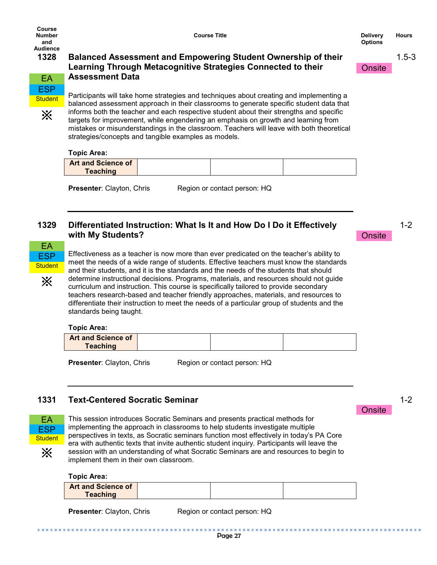**Course Title Delivery Delivery** 

**Onsite** 

1.5-3



※

## **1328 Balanced Assessment and Empowering Student Ownership of their Learning Through Metacognitive Strategies Connected to their Assessment Data**

Participants will take home strategies and techniques about creating and implementing a balanced assessment approach in their classrooms to generate specific student data that informs both the teacher and each respective student about their strengths and specific targets for improvement, while engendering an emphasis on growth and learning from mistakes or misunderstandings in the classroom. Teachers will leave with both theoretical strategies/concepts and tangible examples as models.

## **Topic Area:**

| <b>Teaching</b> |  |
|-----------------|--|

**Presenter:** Clayton, Chris Region or contact person: HQ

## **1329 Differentiated Instruction: What Is It and How Do I Do it Effectively with My Students?**



※

Effectiveness as a teacher is now more than ever predicated on the teacher's ability to meet the needs of a wide range of students. Effective teachers must know the standards and their students, and it is the standards and the needs of the students that should determine instructional decisions. Programs, materials, and resources should not guide curriculum and instruction. This course is specifically tailored to provide secondary teachers research-based and teacher friendly approaches, materials, and resources to differentiate their instruction to meet the needs of a particular group of students and the standards being taught.

#### **Topic Area:**

| <b>Art and Science of</b> |  |
|---------------------------|--|
| <b>Teaching</b>           |  |

**Presenter:** Clayton, Chris Region or contact person: HQ

## **1331 Text-Centered Socratic Seminar**



This session introduces Socratic Seminars and presents practical methods for implementing the approach in classrooms to help students investigate multiple perspectives in texts, as Socratic seminars function most effectively in today's PA Core era with authentic texts that invite authentic student inquiry. Participants will leave the session with an understanding of what Socratic Seminars are and resources to begin to implement them in their own classroom.

#### **Topic Area:**

| Teaching |
|----------|
|----------|

**Presenter:** Clayton, Chris Region or contact person: HQ

1-2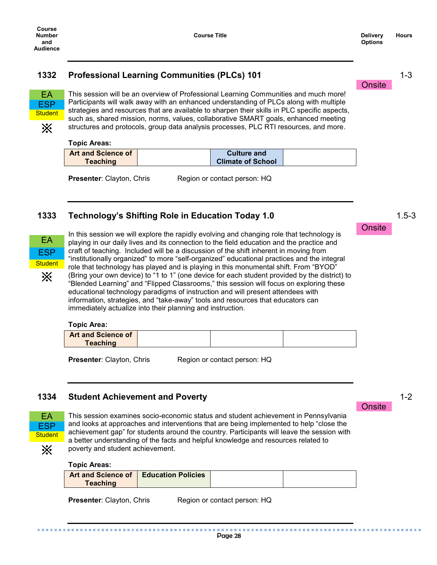**Onsite** 

1-3

1.5-3

## **1332 Professional Learning Communities (PLCs) 101**



※

This session will be an overview of Professional Learning Communities and much more! Participants will walk away with an enhanced understanding of PLCs along with multiple strategies and resources that are available to sharpen their skills in PLC specific aspects, such as, shared mission, norms, values, collaborative SMART goals, enhanced meeting structures and protocols, group data analysis processes, PLC RTI resources, and more.

#### **Topic Areas:**

| <b>Art and Science of</b> | <b>Culture and</b>       |  |
|---------------------------|--------------------------|--|
| <b>Teaching</b>           | <b>Climate of School</b> |  |

**Presenter:** Clayton, Chris Region or contact person: HQ

## **1333 Technology's Shifting Role in Education Today 1.0**



In this session we will explore the rapidly evolving and changing role that technology is playing in our daily lives and its connection to the field education and the practice and craft of teaching. Included will be a discussion of the shift inherent in moving from "institutionally organized" to more "self-organized" educational practices and the integral role that technology has played and is playing in this monumental shift. From "BYOD" (Bring your own device) to "1 to 1" (one device for each student provided by the district) to "Blended Learning" and "Flipped Classrooms," this session will focus on exploring these educational technology paradigms of instruction and will present attendees with information, strategies, and "take-away" tools and resources that educators can immediately actualize into their planning and instruction.

#### **Topic Area:**

| <b>Art and Science of</b> |  |  |
|---------------------------|--|--|
| <b>Tenching</b><br>eacn   |  |  |

**Presenter**: Clayton, Chris Region or contact person: HQ

## **1334 Student Achievement and Poverty**



This session examines socio-economic status and student achievement in Pennsylvania and looks at approaches and interventions that are being implemented to help "close the achievement gap" for students around the country. Participants will leave the session with a better understanding of the facts and helpful knowledge and resources related to poverty and student achievement.

#### **Topic Areas:**

| Teaching | <b>Art and Science of   Education Policies</b> |  |  |
|----------|------------------------------------------------|--|--|
|----------|------------------------------------------------|--|--|

**Presenter:** Clayton, Chris Region or contact person: HQ

**Onsite**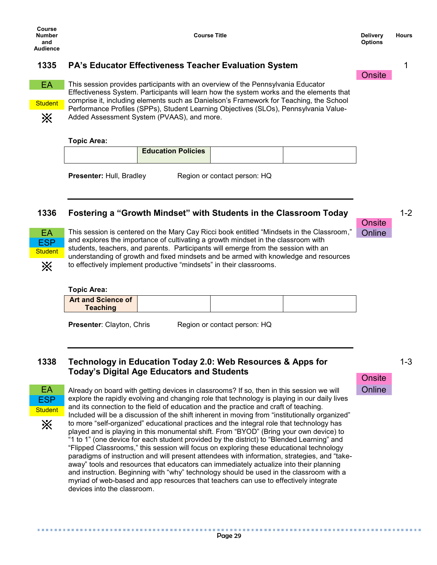**Options Hours**

## **1335 PA's Educator Effectiveness Teacher Evaluation System**



**Student** 

※

This session provides participants with an overview of the Pennsylvania Educator Effectiveness System. Participants will learn how the system works and the elements that comprise it, including elements such as Danielson's Framework for Teaching, the School Performance Profiles (SPPs), Student Learning Objectives (SLOs), Pennsylvania Value-Added Assessment System (PVAAS), and more.

#### **Topic Area:**

**Presenter:** Hull, Bradley Region or contact person: HQ

## **1336 Fostering a "Growth Mindset" with Students in the Classroom Today**



EA This session is centered on the Mary Cay Ricci book entitled "Mindsets in the Classroom," Online and explores the importance of cultivating a growth mindset in the classroom with students, teachers, and parents. Participants will emerge from the session with an understanding of growth and fixed mindsets and be armed with knowledge and resources to effectively implement productive "mindsets" in their classrooms.

#### **Topic Area:**

| <b>Art and Science of</b> |  |  |
|---------------------------|--|--|
| Teaching                  |  |  |
|                           |  |  |

**Presenter:** Clayton, Chris Region or contact person: HQ

## **1338 Technology in Education Today 2.0: Web Resources & Apps for Today's Digital Age Educators and Students**



※

EA Already on board with getting devices in classrooms? If so, then in this session we will Chline explore the rapidly evolving and changing role that technology is playing in our daily lives and its connection to the field of education and the practice and craft of teaching. Included will be a discussion of the shift inherent in moving from "institutionally organized" to more "self-organized" educational practices and the integral role that technology has played and is playing in this monumental shift. From "BYOD" (Bring your own device) to "1 to 1" (one device for each student provided by the district) to "Blended Learning" and "Flipped Classrooms," this session will focus on exploring these educational technology paradigms of instruction and will present attendees with information, strategies, and "takeaway" tools and resources that educators can immediately actualize into their planning and instruction. Beginning with "why" technology should be used in the classroom with a myriad of web-based and app resources that teachers can use to effectively integrate devices into the classroom.

Page 29

1-3



**Onsite** 

**Onsite** 

1

1-2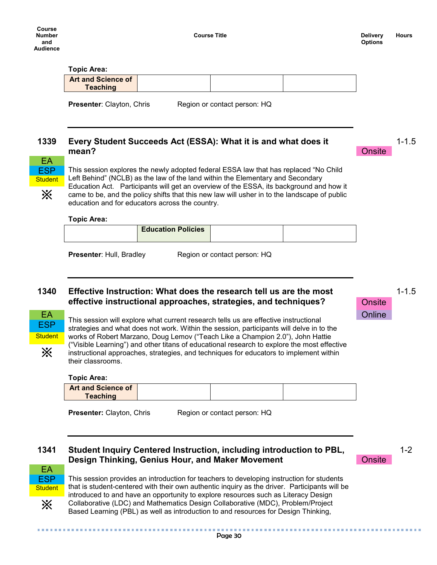**Options Hours**

1-1.5

1-1.5

**Onsite** 

**Onsite** 

#### **Topic Area:**

| <b>Art and Science of</b> |  |  |
|---------------------------|--|--|
| Teaching                  |  |  |

**Presenter**: Clayton, Chris Region or contact person: HQ

#### **1339 Every Student Succeeds Act (ESSA): What it is and what does it mean?**



This session explores the newly adopted federal ESSA law that has replaced "No Child Left Behind" (NCLB) as the law of the land within the Elementary and Secondary Education Act. Participants will get an overview of the ESSA, its background and how it came to be, and the policy shifts that this new law will usher in to the landscape of public education and for educators across the country.

#### **Topic Area:**

| <b>Education Policies</b> |  |
|---------------------------|--|
|                           |  |

**Presenter:** Hull, Bradley Region or contact person: HQ

## **1340 Effective Instruction: What does the research tell us are the most effective instructional approaches, strategies, and techniques?**



EA This session will explore what current research tells us are effective instructional Chline strategies and what does not work. Within the session, participants will delve in to the works of Robert Marzano, Doug Lemov ("Teach Like a Champion 2.0"), John Hattie ("Visible Learning") and other titans of educational research to explore the most effective instructional approaches, strategies, and techniques for educators to implement within their classrooms.

#### **Topic Area:**

| Teaching |  | <b>Art and Science of</b> |  |  |  |
|----------|--|---------------------------|--|--|--|
|----------|--|---------------------------|--|--|--|

**Presenter:** Clayton, Chris Region or contact person: HQ

## **1341 Student Inquiry Centered Instruction, including introduction to PBL, Design Thinking, Genius Hour, and Maker Movement**



**Onsite** 



※

This session provides an introduction for teachers to developing instruction for students that is student-centered with their own authentic inquiry as the driver. Participants will be introduced to and have an opportunity to explore resources such as Literacy Design Collaborative (LDC) and Mathematics Design Collaborative (MDC), Problem/Project Based Learning (PBL) as well as introduction to and resources for Design Thinking,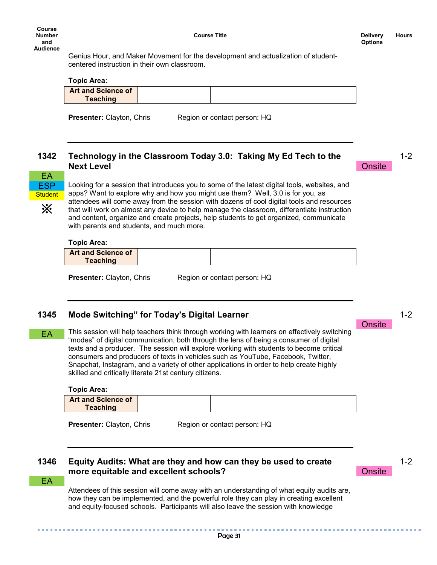**Course Title Delivery Delivery** 

1-2

1-2

**Onsite** 

**Onsite** 

Genius Hour, and Maker Movement for the development and actualization of studentcentered instruction in their own classroom.

#### **Topic Area:**

| <b>Art and Science of</b> |  |
|---------------------------|--|
| Teaching                  |  |

**Presenter:** Clayton, Chris Region or contact person: HQ

## **1342 Technology in the Classroom Today 3.0: Taking My Ed Tech to the Next Level**



※

Looking for a session that introduces you to some of the latest digital tools, websites, and apps? Want to explore why and how you might use them? Well, 3.0 is for you, as attendees will come away from the session with dozens of cool digital tools and resources that will work on almost any device to help manage the classroom, differentiate instruction and content, organize and create projects, help students to get organized, communicate with parents and students, and much more.

#### **Topic Area:**

| <b>Art and Science of</b> |  |  |
|---------------------------|--|--|
| <b>Teaching</b>           |  |  |

**Presenter:** Clayton, Chris Region or contact person: HQ

## **1345 Mode Switching" for Today's Digital Learner**

This session will help teachers think through working with learners on effectively switching "modes" of digital communication, both through the lens of being a consumer of digital texts and a producer. The session will explore working with students to become critical consumers and producers of texts in vehicles such as YouTube, Facebook, Twitter, Snapchat, Instagram, and a variety of other applications in order to help create highly skilled and critically literate 21st century citizens. EA

#### **Topic Area:**

| <b>Art and Science of</b> |  |  |
|---------------------------|--|--|
| <b>Teaching</b>           |  |  |
|                           |  |  |

**Presenter:** Clayton, Chris Region or contact person: HQ

## **1346 Equity Audits: What are they and how can they be used to create more equitable and excellent schools?**

**Onsite** 

1-2

EA

Attendees of this session will come away with an understanding of what equity audits are, how they can be implemented, and the powerful role they can play in creating excellent and equity-focused schools. Participants will also leave the session with knowledge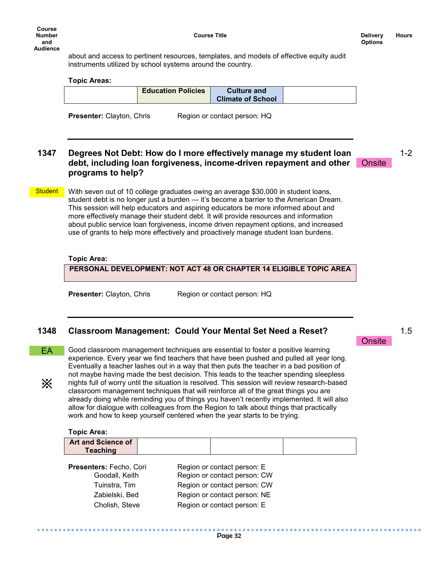about and access to pertinent resources, templates, and models of effective equity audit instruments utilized by school systems around the country.

#### **Topic Areas:**

| <b>Education Policies</b> | <b>Culture and</b><br><b>Climate of School</b> |  |
|---------------------------|------------------------------------------------|--|
|                           |                                                |  |

**Presenter:** Clayton, Chris Region or contact person: HQ

## **1347 Degrees Not Debt: How do I more effectively manage my student loan debt, including loan forgiveness, income-driven repayment and other programs to help?**

1-2

1.5

**Onsite** 

**Onsite** 

With seven out of 10 college graduates owing an average \$30,000 in student loans, student debt is no longer just a burden — it's become a barrier to the American Dream. This session will help educators and aspiring educators be more informed about and more effectively manage their student debt. It will provide resources and information about public service loan forgiveness, income driven repayment options, and increased use of grants to help more effectively and proactively manage student loan burdens. **Student** 

#### **Topic Area:**

#### **PERSONAL DEVELOPMENT: NOT ACT 48 OR CHAPTER 14 ELIGIBLE TOPIC AREA**

**Presenter:** Clayton, Chris Region or contact person: HQ

## **1348 Classroom Management: Could Your Mental Set Need a Reset?**

EA

※

Good classroom management techniques are essential to foster a positive learning experience. Every year we find teachers that have been pushed and pulled all year long. Eventually a teacher lashes out in a way that then puts the teacher in a bad position of not maybe having made the best decision. This leads to the teacher spending sleepless nights full of worry until the situation is resolved. This session will review research-based classroom management techniques that will reinforce all of the great things you are already doing while reminding you of things you haven't recently implemented. It will also allow for dialogue with colleagues from the Region to talk about things that practically work and how to keep yourself centered when the year starts to be trying.

#### **Topic Area:**

..............

| <b>Art and Science of</b> |  |  |
|---------------------------|--|--|
| <b>Teaching</b>           |  |  |

| Presenters: Fecho, Cori | Region or contact person: E  |
|-------------------------|------------------------------|
| Goodall, Keith          | Region or contact person: CW |
| Tuinstra, Tim           | Region or contact person: CW |
| Zabielski, Bed          | Region or contact person: NE |
| Cholish, Steve          | Region or contact person: E  |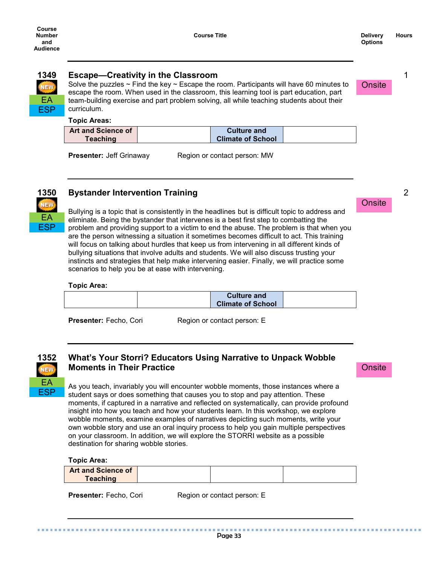## **NEW** EA ESP

## **1349 Escape—Creativity in the Classroom**

Solve the puzzles  $\sim$  Find the key  $\sim$  Escape the room. Participants will have 60 minutes to escape the room. When used in the classroom, this learning tool is part education, part team-building exercise and part problem solving, all while teaching students about their curriculum.

#### **Topic Areas:**

| <b>Art and Science of</b> | <b>Culture and</b>       |  |
|---------------------------|--------------------------|--|
| Teaching                  | <b>Climate of School</b> |  |

**Presenter:** Jeff Grinaway Region or contact person: MW



## **1350 Bystander Intervention Training**

Bullying is a topic that is consistently in the headlines but is difficult topic to address and eliminate. Being the bystander that intervenes is a best first step to combatting the problem and providing support to a victim to end the abuse. The problem is that when you are the person witnessing a situation it sometimes becomes difficult to act. This training will focus on talking about hurdles that keep us from intervening in all different kinds of bullying situations that involve adults and students. We will also discuss trusting your instincts and strategies that help make intervening easier. Finally, we will practice some scenarios to help you be at ease with intervening.

#### **Topic Area:**

|  | <b>Culture and</b>       |  |
|--|--------------------------|--|
|  | <b>Climate of School</b> |  |
|  |                          |  |

**Presenter:** Fecho, Cori Region or contact person: E



## **1352 What's Your Storri? Educators Using Narrative to Unpack Wobble Moments in Their Practice**

As you teach, invariably you will encounter wobble moments, those instances where a student says or does something that causes you to stop and pay attention. These moments, if captured in a narrative and reflected on systematically, can provide profound insight into how you teach and how your students learn. In this workshop, we explore wobble moments, examine examples of narratives depicting such moments, write your own wobble story and use an oral inquiry process to help you gain multiple perspectives on your classroom. In addition, we will explore the STORRI website as a possible destination for sharing wobble stories.

**Topic Area:**

| <b>Art and Science of</b><br><b>Teaching</b> |  |  |
|----------------------------------------------|--|--|
|                                              |  |  |

**Presenter:** Fecho, Cori Region or contact person: E

Page 33

**Onsite** 

**Onsite** 

*<u>ALCOHOL: 1999</u>* 

**Onsite**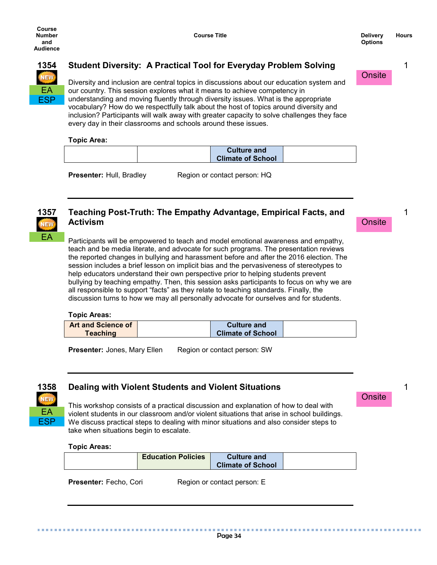**Onsite** 

1

1



## **1354 Student Diversity: A Practical Tool for Everyday Problem Solving**

Diversity and inclusion are central topics in discussions about our education system and our country. This session explores what it means to achieve competency in understanding and moving fluently through diversity issues. What is the appropriate vocabulary? How do we respectfully talk about the host of topics around diversity and inclusion? Participants will walk away with greater capacity to solve challenges they face every day in their classrooms and schools around these issues.

#### **Topic Area:**

|  | <b>Culture and</b>       |  |
|--|--------------------------|--|
|  | <b>Climate of School</b> |  |

**Presenter:** Hull, Bradley Region or contact person: HQ



## **1357 Teaching Post-Truth: The Empathy Advantage, Empirical Facts, and Activism**

Participants will be empowered to teach and model emotional awareness and empathy, teach and be media literate, and advocate for such programs. The presentation reviews the reported changes in bullying and harassment before and after the 2016 election. The session includes a brief lesson on implicit bias and the pervasiveness of stereotypes to help educators understand their own perspective prior to helping students prevent bullying by teaching empathy. Then, this session asks participants to focus on why we are all responsible to support "facts" as they relate to teaching standards. Finally, the discussion turns to how we may all personally advocate for ourselves and for students.

#### **Topic Areas:**

| <b>Art and Science of</b> | <b>Culture and</b>       |  |
|---------------------------|--------------------------|--|
| <b>Teaching</b>           | <b>Climate of School</b> |  |

**Presenter:** Jones, Mary Ellen Region or contact person: SW



## **1358 Dealing with Violent Students and Violent Situations**

This workshop consists of a practical discussion and explanation of how to deal with violent students in our classroom and/or violent situations that arise in school buildings. We discuss practical steps to dealing with minor situations and also consider steps to take when situations begin to escalate.

**Topic Areas:**

| <b>Education Policies</b> | <b>Culture and</b><br><b>Climate of School</b> |  |
|---------------------------|------------------------------------------------|--|
|                           |                                                |  |

**Presenter:** Fecho, Cori Region or contact person: E

Page 34

**Onsite**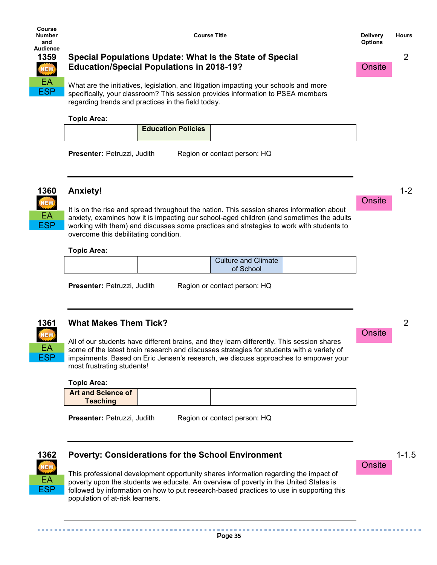

## **1359 Special Populations Update: What Is the State of Special Education/Special Populations in 2018-19?**

What are the initiatives, legislation, and litigation impacting your schools and more specifically, your classroom? This session provides information to PSEA members regarding trends and practices in the field today.

#### **Topic Area:**

| <b>Education Policies</b> |  |
|---------------------------|--|
|                           |  |

**Presenter:** Petruzzi, Judith Region or contact person: HQ



## **1360 Anxiety!**

It is on the rise and spread throughout the nation. This session shares information about anxiety, examines how it is impacting our school-aged children (and sometimes the adults working with them) and discusses some practices and strategies to work with students to overcome this debilitating condition.

#### **Topic Area:**

| <b>Culture and Climate</b> |  |
|----------------------------|--|
| school                     |  |

**Presenter:** Petruzzi, Judith Region or contact person: HQ

EA ESP

## **1361 What Makes Them Tick?**

All of our students have different brains, and they learn differently. This session shares some of the latest brain research and discusses strategies for students with a variety of impairments. Based on Eric Jensen's research, we discuss approaches to empower your most frustrating students!

#### **Topic Area:**

| <b>Art and Science of</b> |  |  |
|---------------------------|--|--|
| <b>Teaching</b>           |  |  |

**Presenter:** Petruzzi, Judith Region or contact person: HQ



## **1362 Poverty: Considerations for the School Environment**

This professional development opportunity shares information regarding the impact of poverty upon the students we educate. An overview of poverty in the United States is followed by information on how to put research-based practices to use in supporting this population of at-risk learners.

## **Onsite**

Onsite

1-1.5

2

**Onsite**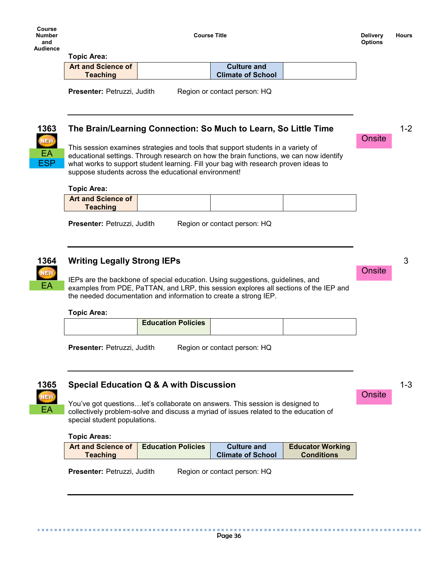EA ESP Onsite

1-2

#### **Topic Area:**

| <b>Art and Science of</b> | <b>Culture and</b>       |  |
|---------------------------|--------------------------|--|
| <b>Teaching</b>           | <b>Climate of School</b> |  |

**Presenter:** Petruzzi, Judith Region or contact person: HQ

## **1363 The Brain/Learning Connection: So Much to Learn, So Little Time**

This session examines strategies and tools that support students in a variety of educational settings. Through research on how the brain functions, we can now identify what works to support student learning. Fill your bag with research proven ideas to suppose students across the educational environment!

#### **Topic Area:**

| <b>Art and Science of</b> |  |  |
|---------------------------|--|--|
| <b>Teaching</b>           |  |  |
|                           |  |  |

**Presenter:** Petruzzi, Judith Region or contact person: HQ



EA

. . . . . . . . . .

## **1364 Writing Legally Strong IEPs**

IEPs are the backbone of special education. Using suggestions, guidelines, and examples from PDE, PaTTAN, and LRP, this session explores all sections of the IEP and the needed documentation and information to create a strong IEP.

#### **Topic Area:**

|--|

**Presenter:** Petruzzi, Judith Region or contact person: HQ

**1365 Special Education Q & A with Discussion**

You've got questions…let's collaborate on answers. This session is designed to collectively problem-solve and discuss a myriad of issues related to the education of special student populations.

#### **Topic Areas:**

| <b>Art and Science of</b> | <b>Education Policies</b> | <b>Culture and</b>       | <b>Educator Working</b> |
|---------------------------|---------------------------|--------------------------|-------------------------|
| <b>Teaching</b>           |                           | <b>Climate of School</b> | <b>Conditions</b>       |

**Presenter:** Petruzzi, Judith Region or contact person: HQ

Page 36

**Onsite** 

3

1-3

. . . . . . .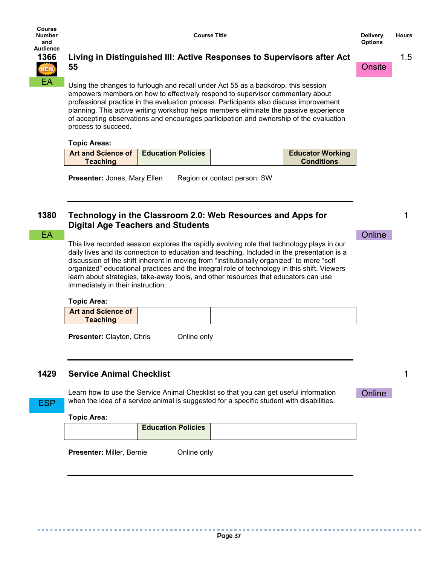**Onsite** 

1.5

1

1



**Course** 

## **1366 Living in Distinguished III: Active Responses to Supervisors after Act 55**

Using the changes to furlough and recall under Act 55 as a backdrop, this session empowers members on how to effectively respond to supervisor commentary about professional practice in the evaluation process. Participants also discuss improvement planning. This active writing workshop helps members eliminate the passive experience of accepting observations and encourages participation and ownership of the evaluation process to succeed.

#### **Topic Areas:**

|                 | <b>Art and Science of   Education Policies  </b> | <b>Educator Working</b> |
|-----------------|--------------------------------------------------|-------------------------|
| <b>Teaching</b> |                                                  | <b>Conditions</b>       |

**Presenter:** Jones, Mary Ellen Region or contact person: SW

## **1380 Technology in the Classroom 2.0: Web Resources and Apps for Digital Age Teachers and Students**

This live recorded session explores the rapidly evolving role that technology plays in our daily lives and its connection to education and teaching. Included in the presentation is a discussion of the shift inherent in moving from "institutionally organized" to more "self organized" educational practices and the integral role of technology in this shift. Viewers learn about strategies, take-away tools, and other resources that educators can use immediately in their instruction. EA CONTRACTE CONTRACTE CONTRACTE CONTRACTE CONTRACTE CONTRACTE CONTRACTE CONTRACTE CONTRACTE CONTRACTE CONTRACTE

#### **Topic Area:**

| <b>Art and Science of</b> |  |  |
|---------------------------|--|--|
| <b>Teaching</b>           |  |  |
|                           |  |  |

**Presenter:** Clayton, Chris **Conline only** 

## **1429 Service Animal Checklist**

Learn how to use the Service Animal Checklist so that you can get useful information when the idea of a service animal is suggested for a specific student with disabilities.

**Online** 

## **Topic Area:**

..............

ESP

|--|

**Presenter: Miller, Bernie Conline only** 

. . . . . . . . . . . . .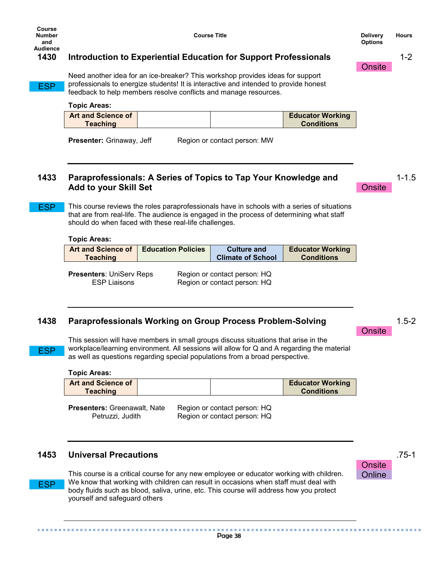**Course Title Delivery Delivery** 

1-2

## **1430 Introduction to Experiential Education for Support Professionals**

**ESP** 

Need another idea for an ice-breaker? This workshop provides ideas for support professionals to energize students! It is interactive and intended to provide honest feedback to help members resolve conflicts and manage resources.

**Topic Areas:**

| <b>Art and Science of</b> |  | <b>Educator Working</b> |
|---------------------------|--|-------------------------|
| <b>Teaching</b>           |  | <b>Conditions</b>       |

**Presenter:** Grinaway, Jeff Region or contact person: MW

## **1433 Paraprofessionals: A Series of Topics to Tap Your Knowledge and Add to your Skill Set**

This course reviews the roles paraprofessionals have in schools with a series of situations that are from real-life. The audience is engaged in the process of determining what staff should do when faced with these real-life challenges. ESP

#### **Topic Areas:**

| <b>Art and Science of</b> | <b>Education Policies</b> | <b>Culture and</b>       | <b>Educator Working</b> |
|---------------------------|---------------------------|--------------------------|-------------------------|
| <b>Teaching</b>           |                           | <b>Climate of School</b> | <b>Conditions</b>       |

**Presenters**: UniServ Reps Region or contact person: HQ

ESP Liaisons Region or contact person: HQ

## **1438 Paraprofessionals Working on Group Process Problem-Solving**

ESP

ESP

This session will have members in small groups discuss situations that arise in the workplace/learning environment. All sessions will allow for Q and A regarding the material as well as questions regarding special populations from a broad perspective.

**Topic Areas:**

| <b>Art and Science of</b> |  | <b>Educator Working</b> |
|---------------------------|--|-------------------------|
| <b>Teaching</b>           |  | <b>Conditions</b>       |
|                           |  |                         |

**Presenters:** Greenawalt, Nate Region or contact person: HQ Petruzzi, Judith Region or contact person: HQ

## **1453 Universal Precautions**

This course is a critical course for any new employee or educator working with children. We know that working with children can result in occasions when staff must deal with body fluids such as blood, saliva, urine, etc. This course will address how you protect yourself and safeguard others

Page 38



*<u>ALCOHOL: 1999</u>* 

**Onsite** 

**Onsite** 

1-1.5

1.5-2